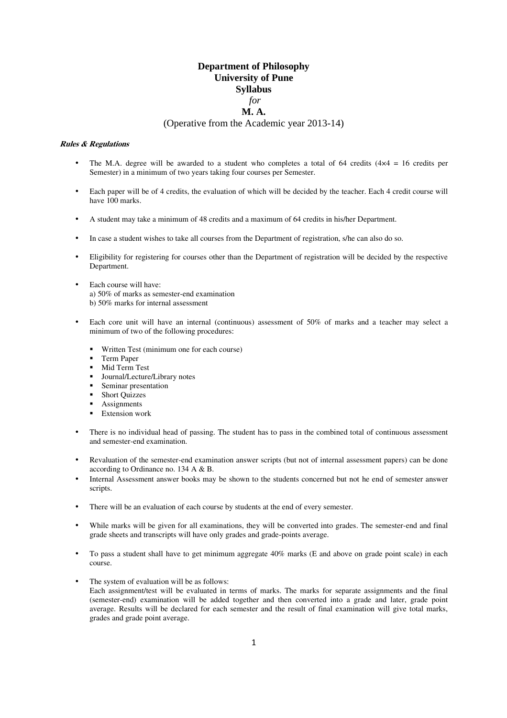# **Department of Philosophy University of Pune Syllabus**  *for*  **M. A.**

#### (Operative from the Academic year 2013-14)

### **Rules & Regulations**

- The M.A. degree will be awarded to a student who completes a total of 64 credits ( $4 \times 4 = 16$  credits per Semester) in a minimum of two years taking four courses per Semester.
- Each paper will be of 4 credits, the evaluation of which will be decided by the teacher. Each 4 credit course will have 100 marks.
- A student may take a minimum of 48 credits and a maximum of 64 credits in his/her Department.
- In case a student wishes to take all courses from the Department of registration, s/he can also do so.
- Eligibility for registering for courses other than the Department of registration will be decided by the respective Department.
- Each course will have: a) 50% of marks as semester-end examination b) 50% marks for internal assessment
- Each core unit will have an internal (continuous) assessment of 50% of marks and a teacher may select a minimum of two of the following procedures:
	- Written Test (minimum one for each course)
	- Term Paper
	- Mid Term Test
	- Journal/Lecture/Library notes
	- **Seminar presentation**
	- Short Quizzes
	- Assignments
	- **Extension work**
- There is no individual head of passing. The student has to pass in the combined total of continuous assessment and semester-end examination.
- Revaluation of the semester-end examination answer scripts (but not of internal assessment papers) can be done according to Ordinance no. 134 A & B.
- Internal Assessment answer books may be shown to the students concerned but not he end of semester answer scripts.
- There will be an evaluation of each course by students at the end of every semester.
- While marks will be given for all examinations, they will be converted into grades. The semester-end and final grade sheets and transcripts will have only grades and grade-points average.
- To pass a student shall have to get minimum aggregate 40% marks (E and above on grade point scale) in each course.
- The system of evaluation will be as follows: Each assignment/test will be evaluated in terms of marks. The marks for separate assignments and the final (semester-end) examination will be added together and then converted into a grade and later, grade point average. Results will be declared for each semester and the result of final examination will give total marks, grades and grade point average.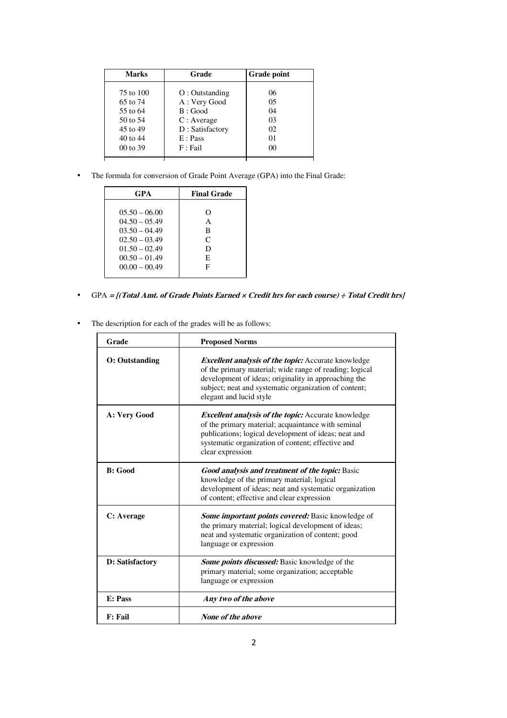| <b>Marks</b>                                                                      | Grade                                                                                                 | <b>Grade point</b>                                             |
|-----------------------------------------------------------------------------------|-------------------------------------------------------------------------------------------------------|----------------------------------------------------------------|
| 75 to 100<br>65 to 74<br>55 to 64<br>50 to 54<br>45 to 49<br>40 to 44<br>00 to 39 | $O:$ Outstanding<br>A: Very Good<br>B: Good<br>C: Average<br>D: Satisfactory<br>E: Pass<br>$F :$ Fail | 06<br>0 <sub>5</sub><br>04<br>03<br>02<br>01<br>0 <sup>0</sup> |
|                                                                                   |                                                                                                       |                                                                |

• The formula for conversion of Grade Point Average (GPA) into the Final Grade:

| <b>Final Grade</b>              |
|---------------------------------|
| O<br>A<br>B<br>C<br>D<br>E<br>F |
|                                 |

- GPA **= [(Total Amt. of Grade Points Earned × Credit hrs for each course) ÷ Total Credit hrs]**
- The description for each of the grades will be as follows:

| Grade                  | <b>Proposed Norms</b>                                                                                                                                                                                                                                             |  |
|------------------------|-------------------------------------------------------------------------------------------------------------------------------------------------------------------------------------------------------------------------------------------------------------------|--|
| <b>O</b> : Outstanding | <b>Excellent analysis of the topic:</b> Accurate knowledge<br>of the primary material; wide range of reading; logical<br>development of ideas; originality in approaching the<br>subject; neat and systematic organization of content;<br>elegant and lucid style |  |
| A: Very Good           | <b>Excellent analysis of the topic:</b> Accurate knowledge<br>of the primary material; acquaintance with seminal<br>publications; logical development of ideas; neat and<br>systematic organization of content; effective and<br>clear expression                 |  |
| <b>B</b> : Good        | <b>Good analysis and treatment of the topic:</b> Basic<br>knowledge of the primary material; logical<br>development of ideas; neat and systematic organization<br>of content; effective and clear expression                                                      |  |
| C: Average             | <b>Some important points covered:</b> Basic knowledge of<br>the primary material; logical development of ideas;<br>neat and systematic organization of content; good<br>language or expression                                                                    |  |
| D: Satisfactory        | <b>Some points discussed:</b> Basic knowledge of the<br>primary material; some organization; acceptable<br>language or expression                                                                                                                                 |  |
| E: Pass                | Any two of the above                                                                                                                                                                                                                                              |  |
| <b>F</b> : Fail        | <b>None of the above</b>                                                                                                                                                                                                                                          |  |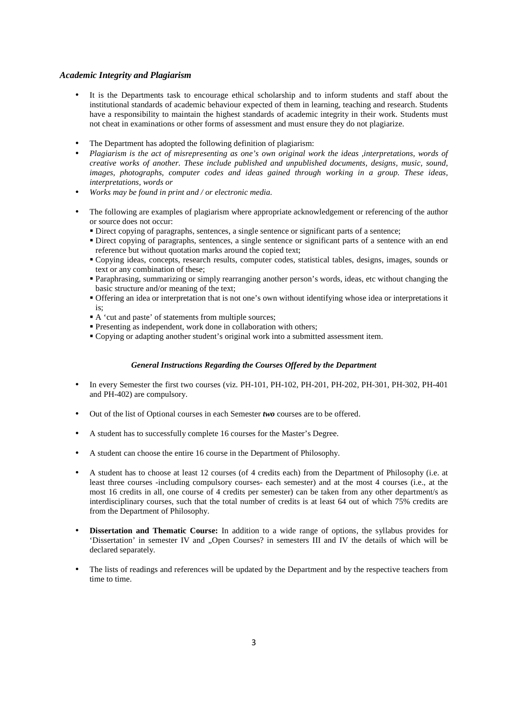#### *Academic Integrity and Plagiarism*

- It is the Departments task to encourage ethical scholarship and to inform students and staff about the institutional standards of academic behaviour expected of them in learning, teaching and research. Students have a responsibility to maintain the highest standards of academic integrity in their work. Students must not cheat in examinations or other forms of assessment and must ensure they do not plagiarize.
- The Department has adopted the following definition of plagiarism:
- *Plagiarism is the act of misrepresenting as one's own original work the ideas ,interpretations, words of creative works of another. These include published and unpublished documents, designs, music, sound, images, photographs, computer codes and ideas gained through working in a group. These ideas, interpretations, words or*
- *Works may be found in print and / or electronic media.*
- The following are examples of plagiarism where appropriate acknowledgement or referencing of the author or source does not occur:
	- Direct copying of paragraphs, sentences, a single sentence or significant parts of a sentence;
	- Direct copying of paragraphs, sentences, a single sentence or significant parts of a sentence with an end reference but without quotation marks around the copied text;
	- Copying ideas, concepts, research results, computer codes, statistical tables, designs, images, sounds or text or any combination of these;
	- Paraphrasing, summarizing or simply rearranging another person's words, ideas, etc without changing the basic structure and/or meaning of the text;
	- Offering an idea or interpretation that is not one's own without identifying whose idea or interpretations it is;
	- A 'cut and paste' of statements from multiple sources;
	- **Presenting as independent, work done in collaboration with others;**
	- Copying or adapting another student's original work into a submitted assessment item.

#### *General Instructions Regarding the Courses Offered by the Department*

- In every Semester the first two courses (viz. PH-101, PH-102, PH-201, PH-202, PH-301, PH-302, PH-401 and PH-402) are compulsory.
- Out of the list of Optional courses in each Semester *two* courses are to be offered.
- A student has to successfully complete 16 courses for the Master's Degree.
- A student can choose the entire 16 course in the Department of Philosophy.
- A student has to choose at least 12 courses (of 4 credits each) from the Department of Philosophy (i.e. at least three courses -including compulsory courses- each semester) and at the most 4 courses (i.e., at the most 16 credits in all, one course of 4 credits per semester) can be taken from any other department/s as interdisciplinary courses, such that the total number of credits is at least 64 out of which 75% credits are from the Department of Philosophy.
- **Dissertation and Thematic Course:** In addition to a wide range of options, the syllabus provides for 'Dissertation' in semester IV and "Open Courses? in semesters III and IV the details of which will be declared separately.
- The lists of readings and references will be updated by the Department and by the respective teachers from time to time.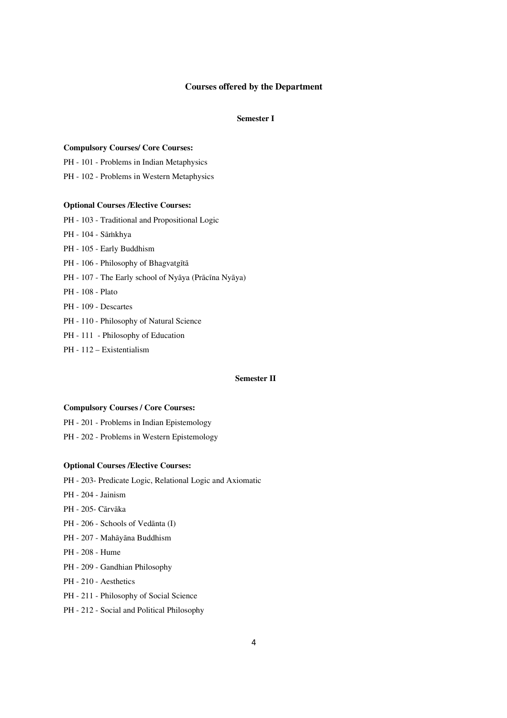### **Courses offered by the Department**

### **Semester I**

#### **Compulsory Courses/ Core Courses:**

- PH 101 Problems in Indian Metaphysics
- PH 102 Problems in Western Metaphysics

#### **Optional Courses /Elective Courses:**

- PH 103 Traditional and Propositional Logic
- PH 104 Sāṁkhya
- PH 105 Early Buddhism
- PH 106 Philosophy of Bhagvatgītā
- PH 107 The Early school of Nyāya (Prācīna Nyāya)
- PH 108 Plato
- PH 109 Descartes
- PH 110 Philosophy of Natural Science
- PH 111 Philosophy of Education
- PH 112 Existentialism

### **Semester II**

#### **Compulsory Courses / Core Courses:**

- PH 201 Problems in Indian Epistemology
- PH 202 Problems in Western Epistemology

#### **Optional Courses /Elective Courses:**

- PH 203- Predicate Logic, Relational Logic and Axiomatic
- PH 204 Jainism
- PH 205- Cārvāka
- PH 206 Schools of Vedānta (I)
- PH 207 Mahāyāna Buddhism
- PH 208 Hume
- PH 209 Gandhian Philosophy
- PH 210 Aesthetics
- PH 211 Philosophy of Social Science
- PH 212 Social and Political Philosophy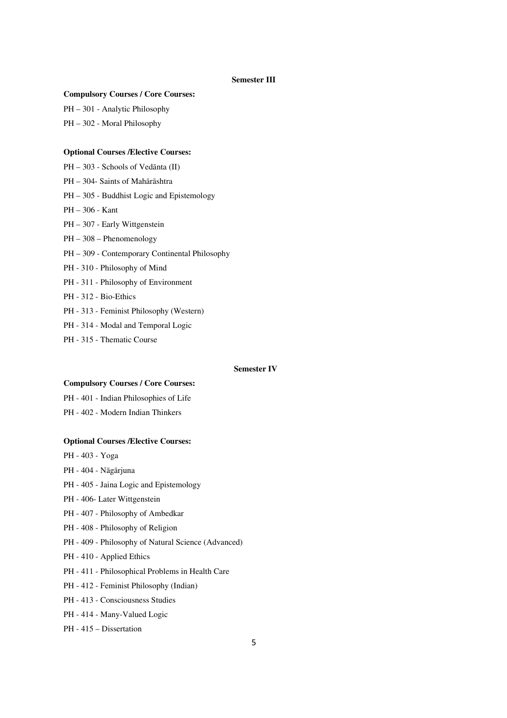### **Semester III**

### **Compulsory Courses / Core Courses:**

PH — 301 - Analytic Philosophy

PH — 302 - Moral Philosophy

#### **Optional Courses /Elective Courses:**

- PH 303 Schools of Vedānta (II)
- PH 304- Saints of Mahārāshtra
- PH 305 Buddhist Logic and Epistemology
- PH 306 Kant
- PH 307 Early Wittgenstein
- PH 308 Phenomenology
- PH 309 Contemporary Continental Philosophy
- PH 310 Philosophy of Mind
- PH 311 Philosophy of Environment
- PH 312 Bio-Ethics
- PH 313 Feminist Philosophy (Western)
- PH 314 Modal and Temporal Logic
- PH 315 Thematic Course

#### **Semester IV**

#### **Compulsory Courses / Core Courses:**

PH - 401 - Indian Philosophies of Life

PH - 402 - Modern Indian Thinkers

#### **Optional Courses /Elective Courses:**

- PH 403 Yoga
- PH 404 Nāgārjuna
- PH 405 Jaina Logic and Epistemology
- PH 406- Later Wittgenstein
- PH 407 Philosophy of Ambedkar
- PH 408 Philosophy of Religion
- PH 409 Philosophy of Natural Science (Advanced)
- PH 410 Applied Ethics
- PH 411 Philosophical Problems in Health Care
- PH 412 Feminist Philosophy (Indian)
- PH 413 Consciousness Studies
- PH 414 Many-Valued Logic
- PH 415 Dissertation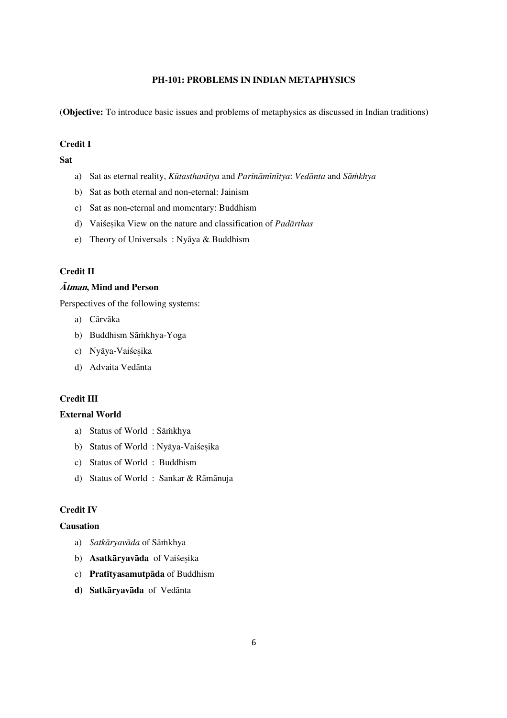# **PH-101: PROBLEMS IN INDIAN METAPHYSICS**

(**Objective:** To introduce basic issues and problems of metaphysics as discussed in Indian traditions)

## **Credit I**

**Sat** 

- a) Sat as eternal reality, *Kūtasthanītya* and *Parināmīnītya: Vedānta* and *Sāmkhya*
- b) Sat as both eternal and non-eternal: Jainism
- c) Sat as non-eternal and momentary: Buddhism
- d) Vaiśesika View on the nature and classification of *Padārthas*
- e) Theory of Universals : Nyāya & Buddhism

## **Credit II**

## **Àtman, Mind and Person**

Perspectives of the following systems:

- a) Cārvāka
- b) Buddhism Sāmkhya-Yoga
- c) Nyāya-Vaiśesika
- d) Advaita Vedānta

# **Credit III**

## **External World**

- a) Status of World : Sāmkhya
- b) Status of World : Nyāya-Vaiśesika
- c) Status of World : Buddhism
- d) Status of World : Sankar & Rāmānuja

# **Credit IV**

## **Causation**

- a) Satkāryavāda of Sāmkhya
- b) **Asatkāryavāda** of Vaiśesika
- c) **Pratītyasamutpāda** of Buddhism
- d) Satkāryavāda of Vedānta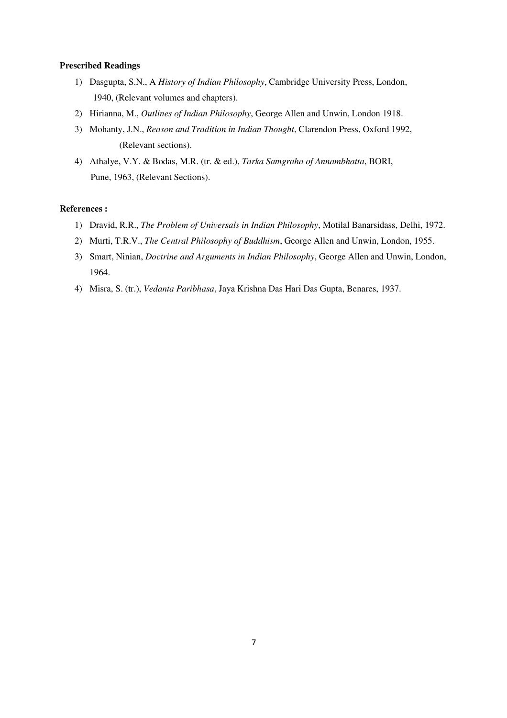## **Prescribed Readings**

- 1) Dasgupta, S.N., A *History of Indian Philosophy*, Cambridge University Press, London, 1940, (Relevant volumes and chapters).
- 2) Hirianna, M., *Outlines of Indian Philosophy*, George Allen and Unwin, London 1918.
- 3) Mohanty, J.N., *Reason and Tradition in Indian Thought*, Clarendon Press, Oxford 1992, (Relevant sections).
- 4) Athalye, V.Y. & Bodas, M.R. (tr. & ed.), *Tarka Samgraha of Annambhatta*, BORI, Pune, 1963, (Relevant Sections).

#### **References :**

- 1) Dravid, R.R., *The Problem of Universals in Indian Philosophy*, Motilal Banarsidass, Delhi, 1972.
- 2) Murti, T.R.V., *The Central Philosophy of Buddhism*, George Allen and Unwin, London, 1955.
- 3) Smart, Ninian, *Doctrine and Arguments in Indian Philosophy*, George Allen and Unwin, London, 1964.
- 4) Misra, S. (tr.), *Vedanta Paribhasa*, Jaya Krishna Das Hari Das Gupta, Benares, 1937.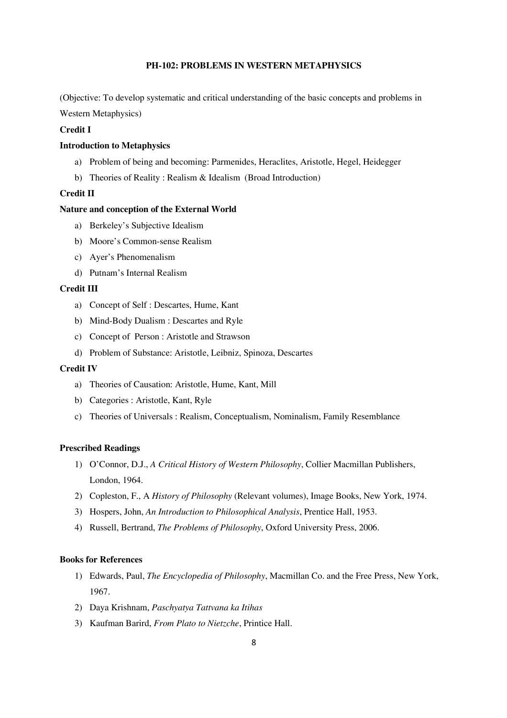## **PH-102: PROBLEMS IN WESTERN METAPHYSICS**

(Objective: To develop systematic and critical understanding of the basic concepts and problems in

Western Metaphysics)

## **Credit I**

### **Introduction to Metaphysics**

- a) Problem of being and becoming: Parmenides, Heraclites, Aristotle, Hegel, Heidegger
- b) Theories of Reality : Realism & Idealism (Broad Introduction)

### **Credit II**

## **Nature and conception of the External World**

- a) Berkeley's Subjective Idealism
- b) Moore's Common-sense Realism
- c) Ayer's Phenomenalism
- d) Putnam's Internal Realism

#### **Credit III**

- a) Concept of Self : Descartes, Hume, Kant
- b) Mind-Body Dualism : Descartes and Ryle
- c) Concept of Person : Aristotle and Strawson
- d) Problem of Substance: Aristotle, Leibniz, Spinoza, Descartes

#### **Credit IV**

- a) Theories of Causation: Aristotle, Hume, Kant, Mill
- b) Categories : Aristotle, Kant, Ryle
- c) Theories of Universals : Realism, Conceptualism, Nominalism, Family Resemblance

#### **Prescribed Readings**

- 1) O'Connor, D.J., *A Critical History of Western Philosophy*, Collier Macmillan Publishers, London, 1964.
- 2) Copleston, F., A *History of Philosophy* (Relevant volumes), Image Books, New York, 1974.
- 3) Hospers, John, *An Introduction to Philosophical Analysis*, Prentice Hall, 1953.
- 4) Russell, Bertrand, *The Problems of Philosophy*, Oxford University Press, 2006.

- 1) Edwards, Paul, *The Encyclopedia of Philosophy*, Macmillan Co. and the Free Press, New York, 1967.
- 2) Daya Krishnam, *Paschyatya Tattvana ka Itihas*
- 3) Kaufman Barird, *From Plato to Nietzche*, Printice Hall.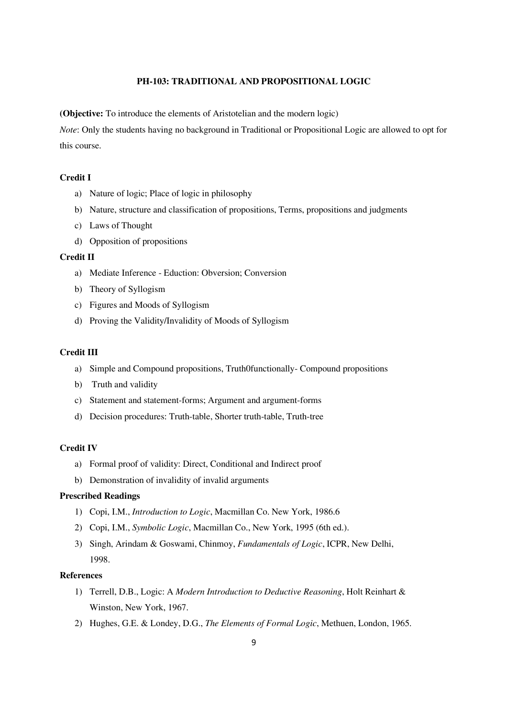## **PH-103: TRADITIONAL AND PROPOSITIONAL LOGIC**

**(Objective:** To introduce the elements of Aristotelian and the modern logic)

*Note*: Only the students having no background in Traditional or Propositional Logic are allowed to opt for this course.

### **Credit I**

- a) Nature of logic; Place of logic in philosophy
- b) Nature, structure and classification of propositions, Terms, propositions and judgments
- c) Laws of Thought
- d) Opposition of propositions

## **Credit II**

- a) Mediate Inference Eduction: Obversion; Conversion
- b) Theory of Syllogism
- c) Figures and Moods of Syllogism
- d) Proving the Validity/Invalidity of Moods of Syllogism

### **Credit III**

- a) Simple and Compound propositions, Truth0functionally- Compound propositions
- b) Truth and validity
- c) Statement and statement-forms; Argument and argument-forms
- d) Decision procedures: Truth-table, Shorter truth-table, Truth-tree

## **Credit IV**

- a) Formal proof of validity: Direct, Conditional and Indirect proof
- b) Demonstration of invalidity of invalid arguments

### **Prescribed Readings**

- 1) Copi, I.M., *Introduction to Logic*, Macmillan Co. New York, 1986.6
- 2) Copi, I.M., *Symbolic Logic*, Macmillan Co., New York, 1995 (6th ed.).
- 3) Singh, Arindam & Goswami, Chinmoy, *Fundamentals of Logic*, ICPR, New Delhi, 1998.

## **References**

- 1) Terrell, D.B., Logic: A *Modern Introduction to Deductive Reasoning*, Holt Reinhart & Winston, New York, 1967.
- 2) Hughes, G.E. & Londey, D.G., *The Elements of Formal Logic*, Methuen, London, 1965.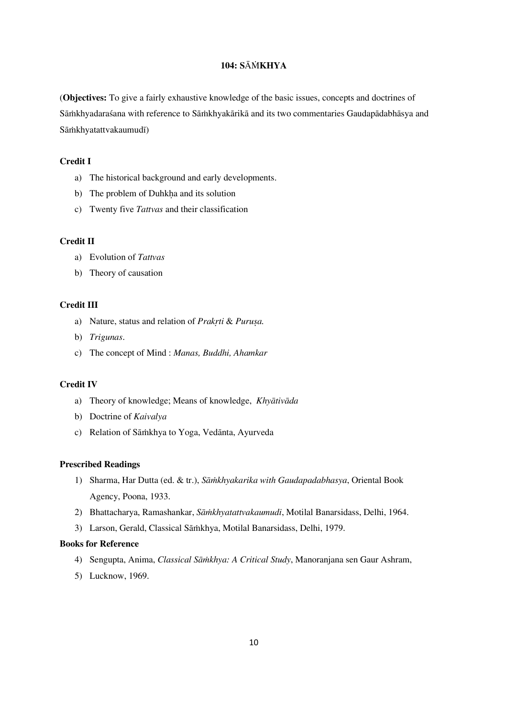# **104: S**À¾**KHYA**

(**Objectives:** To give a fairly exhaustive knowledge of the basic issues, concepts and doctrines of Sāmkhyadaraśana with reference to Sāmkhyakārikā and its two commentaries Gaudapādabhāsya and Sāmkhyatattvakaumudī)

## **Credit I**

- a) The historical background and early developments.
- b) The problem of Duhkha and its solution
- c) Twenty five *Tattvas* and their classification

### **Credit II**

- a) Evolution of *Tattvas*
- b) Theory of causation

## **Credit III**

- a) Nature, status and relation of *Prakrti & Purușa*.
- b) *Trigunas*.
- c) The concept of Mind : *Manas, Buddhi, Ahamkar*

### **Credit IV**

- a) Theory of knowledge; Means of knowledge, *Khyātivāda*
- b) Doctrine of *Kaivalya*
- c) Relation of Sāmkhya to Yoga, Vedānta, Ayurveda

### **Prescribed Readings**

- 1) Sharma, Har Dutta (ed. & tr.), *Sāmkhyakarika with Gaudapadabhasya*, Oriental Book Agency, Poona, 1933.
- 2) Bhattacharya, Ramashankar, *Sāmkhyatattvakaumudi*, Motilal Banarsidass, Delhi, 1964.
- 3) Larson, Gerald, Classical Sāṁkhya, Motilal Banarsidass, Delhi, 1979.

- 4) Sengupta, Anima, *Classical Sāṅkhya: A Critical Study*, Manoranjana sen Gaur Ashram,
- 5) Lucknow, 1969.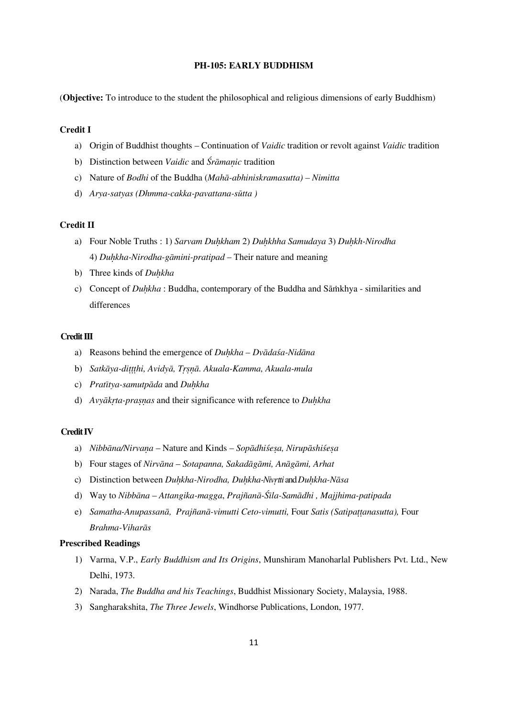## **PH-105: EARLY BUDDHISM**

(**Objective:** To introduce to the student the philosophical and religious dimensions of early Buddhism)

### **Credit I**

- a) Origin of Buddhist thoughts Continuation of *Vaidic* tradition or revolt against *Vaidic* tradition
- b) Distinction between *Vaidic* and *Śrāmanic* tradition
- c) Nature of *Bodhi* of the Buddha (*MahÁ-abhiniskramasutta) Nimitta*
- d) *Arya-satyas (Dhmma-cakka-pavattana-sūtta)*

#### **Credit II**

- a) Four Noble Truths : 1) *Sarvam Duhkham 2) Duhkhha Samudaya 3) Duhkh-Nirodha* 4) *Du½kha-Nirodha-gÁmini-pratipad* — Their nature and meaning
- b) Three kinds of *Duhkha*
- c) Concept of *Duhkha* : Buddha, contemporary of the Buddha and Sāmkhya similarities and differences

### **Credit III**

- a) Reasons behind the emergence of *Duhkha Dvādasa-Nidāna*
- b) Satkāya-dittthi, Avidyā, Trsnā. Akuala-Kamma, Akuala-mula
- c) *Pratītya-samutpāda* and *Duhkha*
- d) *Avyākrta-praṣṇas* and their significance with reference to *Duḥkha*

#### **Credit IV**

- a) *Nibbāna/Nirvana* Nature and Kinds *Sopādhiśesa*, Nirupāshiśesa
- b) Four stages of *Nirvāna Sotapanna, Sakadāgāmi, Anāgāmi, Arhat*
- c) Distinction between *Duhkha-Nirodha, Duhkha-Nivrtti* and *Duhkha-Nāsa*
- d) Way to *Nibbāna Attangika-magga, Prajñanā-Śīla-Samādhi, Majjhima-patipada*
- e) *Samatha-Anupassanā, Prajñanā-vimutti Ceto-vimutti, Four Satis (Satipattanasutta), Four*  $Brahma-Viharās$

#### **Prescribed Readings**

- 1) Varma, V.P., *Early Buddhism and Its Origins*, Munshiram Manoharlal Publishers Pvt. Ltd., New Delhi, 1973.
- 2) Narada, *The Buddha and his Teachings*, Buddhist Missionary Society, Malaysia, 1988.
- 3) Sangharakshita, *The Three Jewels*, Windhorse Publications, London, 1977.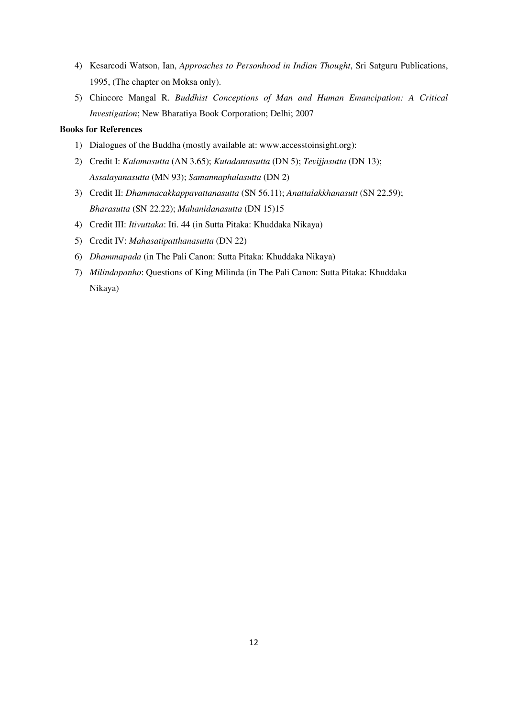- 4) Kesarcodi Watson, Ian, *Approaches to Personhood in Indian Thought*, Sri Satguru Publications, 1995, (The chapter on Moksa only).
- 5) Chincore Mangal R. *Buddhist Conceptions of Man and Human Emancipation: A Critical Investigation*; New Bharatiya Book Corporation; Delhi; 2007

- 1) Dialogues of the Buddha (mostly available at: www.accesstoinsight.org):
- 2) Credit I: *Kalamasutta* (AN 3.65); *Kutadantasutta* (DN 5); *Tevijjasutta* (DN 13); *Assalayanasutta* (MN 93); *Samannaphalasutta* (DN 2)
- 3) Credit II: *Dhammacakkappavattanasutta* (SN 56.11); *Anattalakkhanasutt* (SN 22.59); *Bharasutta* (SN 22.22); *Mahanidanasutta* (DN 15)15
- 4) Credit III: *Itivuttaka*: Iti. 44 (in Sutta Pitaka: Khuddaka Nikaya)
- 5) Credit IV: *Mahasatipatthanasutta* (DN 22)
- 6) *Dhammapada* (in The Pali Canon: Sutta Pitaka: Khuddaka Nikaya)
- 7) *Milindapanho*: Questions of King Milinda (in The Pali Canon: Sutta Pitaka: Khuddaka Nikaya)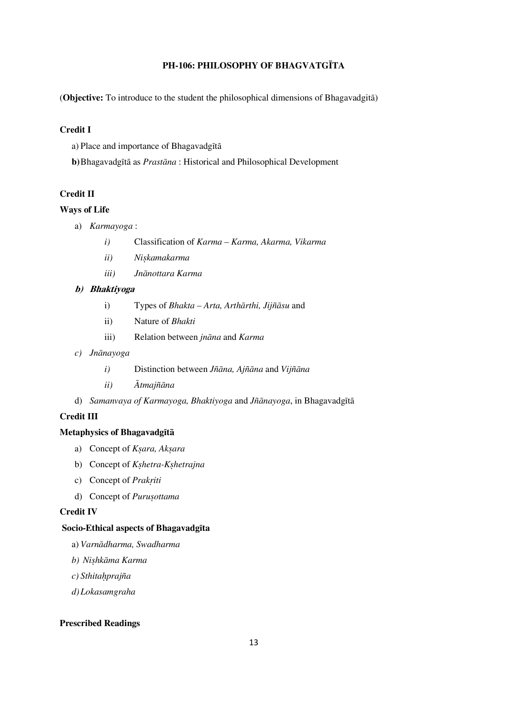# **PH-106: PHILOSOPHY OF BHAGVATGÌTA**

(Objective: To introduce to the student the philosophical dimensions of Bhagavadgita)

## **Credit I**

a) Place and importance of Bhagavadgītā

**b**)Bhagavadgītā as *Prastāna* : Historical and Philosophical Development

## **Credit II**

## **Ways of Life**

- a) *Karmayoga* :
	- *i)* Classification of *Karma Karma, Akarma, Vikarma*
	- *ii*) *Niskamakarma*
	- *iii) JnÁnottara Karma*

## **b) Bhaktiyoga**

- i) Types of *Bhakta Arta, Arthārthi, Jijñāsu* and
- ii) Nature of *Bhakti*
- iii) Relation between *jnāna* and *Karma*
- *c) JnÁnayoga* 
	- *i*) Distinction between *Jñāna*, Ajñ*āna* and *Vijñāna*
	- *ii*) *Ātmajñāna*
- d) *Samanvaya of Karmayoga, Bhaktiyoga* and *Jñānayoga*, in Bhagavadgītā

## **Credit III**

### **Metaphysics of Bhagavadgītā**

- a) Concept of *Ksara*, Aksara
- b) Concept of *K*shetra-Kshetrajna
- c) Concept of *Prakriti*
- d) Concept of *Purusottama*

#### **Credit IV**

## **Socio-Ethical aspects of BhagavadgÍta**

- a) Varnādharma, Swadharma
- $b)$  *Nishkāma Karma*
- *c) Sthita½prajña*
- *d)Lokasamgraha*

### **Prescribed Readings**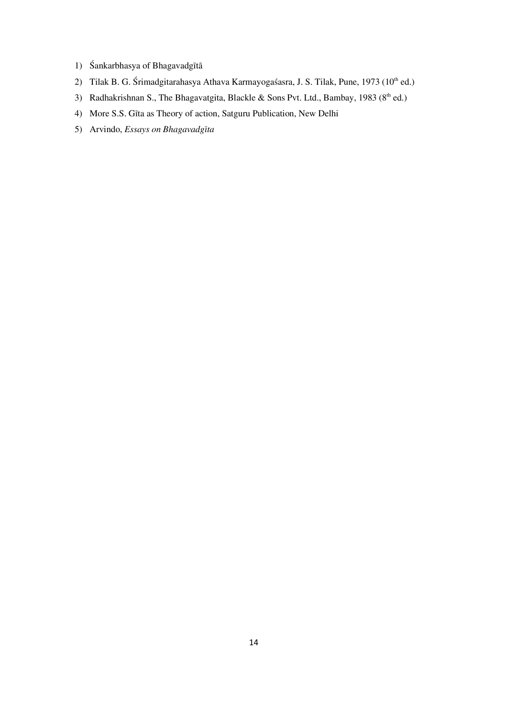- 1) Śankarbhasya of Bhagavadgītā
- 2) Tilak B. G. Śrimadgitarahasya Athava Karmayogaśasra, J. S. Tilak, Pune, 1973 (10<sup>th</sup> ed.)
- 3) Radhakrishnan S., The Bhagavatgita, Blackle & Sons Pvt. Ltd., Bambay, 1983 ( $8<sup>th</sup>$  ed.)
- 4) More S.S. GÍta as Theory of action, Satguru Publication, New Delhi
- 5) Arvindo, *Essays on BhagavadgÍta*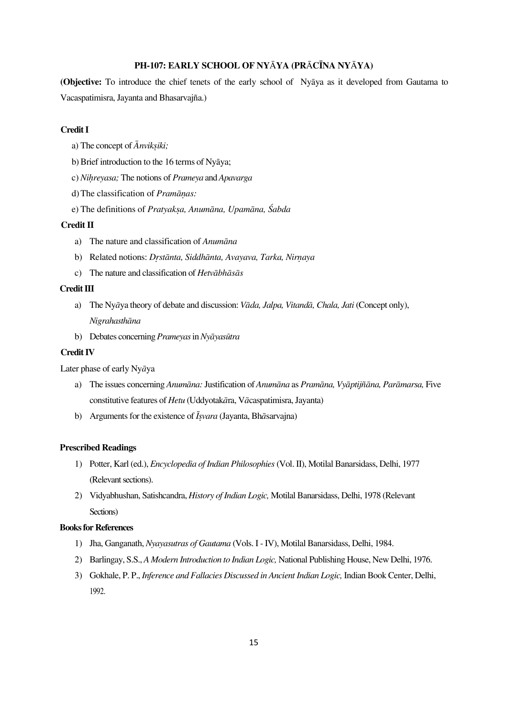## **PH-107: EARLY SCHOOL OF NY**À**YA (PR**À**CÌNA NY**À**YA)**

(Objective: To introduce the chief tenets of the early school of Nyaya as it developed from Gautama to Vacaspatimisra, Jayanta and Bhasarvajña.)

## **Credit I**

- a) The concept of  $\bar{A}$ *nviksiki*;
- b) Brief introduction to the 16 terms of Nyāya;
- c) *Ni½reyasa;* The notions of *Prameya* and *Apavarga*
- d) The classification of *Pramānas*:
- e) The definitions of *Pratyaksa, Anumāna, Upamāna, Śabda*

#### **Credit II**

- a) The nature and classification of *Anumāna*
- b) Related notions: *Drstānta, Siddhānta, Avayava, Tarka, Nirnaya*
- c) The nature and classification of *Hetvābhāsās*

## **Credit III**

- a) The Ny*ā*ya theory of debate and discussion: *Vāda, Jalpa, Vitandā, Chala, Jati* (Concept only), *NigrahasthÁna*
- b) Debates concerning *Prameyas* in *Nyāyasūtra*

#### **Credit IV**

Later phase of early Ny*Á*ya

- a) The issues concerning *Anumāna:* Justification of *Anumāna* as *Pramāna, Vyāptijñāna, Parāmarsa,* Five constitutive features of *Hetu* (Uddyotakāra, Vācaspatimisra, Jayanta)
- b) Arguments for the existence of  $\bar{I}$ *svara* (Jayanta, Bh $\bar{a}$ sarvajna)

#### **Prescribed Readings**

- 1) Potter, Karl (ed.), *Encyclopedia of Indian Philosophies* (Vol. II), Motilal Banarsidass, Delhi, 1977 (Relevant sections).
- 2) Vidyabhushan, Satishcandra, *History of Indian Logic,* Motilal Banarsidass, Delhi, 1978 (Relevant Sections)

- 1) Jha, Ganganath, *Nyayasutras of Gautama* (Vols. I IV), Motilal Banarsidass, Delhi, 1984.
- 2) Barlingay, S.S., *A Modern Introduction to Indian Logic,* National Publishing House, New Delhi, 1976.
- 3) Gokhale, P. P., *Inference and Fallacies Discussed in Ancient Indian Logic,* Indian Book Center, Delhi, 1992.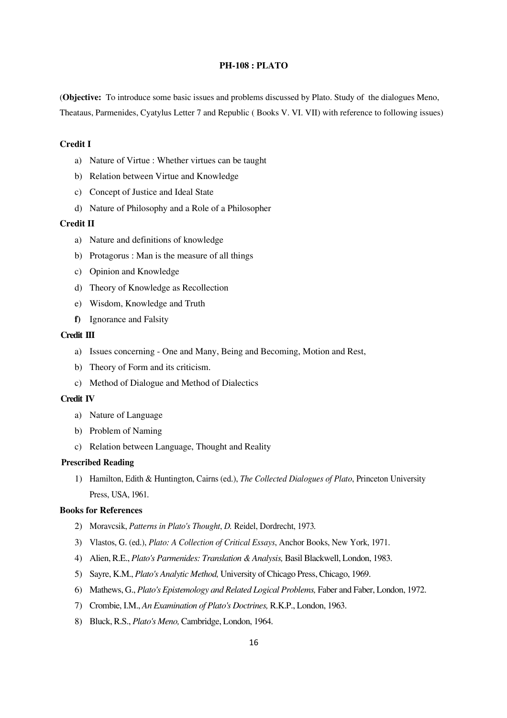#### **PH-108 : PLATO**

(**Objective:** To introduce some basic issues and problems discussed by Plato. Study of the dialogues Meno, Theataus, Parmenides, Cyatylus Letter 7 and Republic ( Books V. VI. VII) with reference to following issues)

## **Credit I**

- a) Nature of Virtue : Whether virtues can be taught
- b) Relation between Virtue and Knowledge
- c) Concept of Justice and Ideal State
- d) Nature of Philosophy and a Role of a Philosopher

#### **Credit II**

- a) Nature and definitions of knowledge
- b) Protagorus : Man is the measure of all things
- c) Opinion and Knowledge
- d) Theory of Knowledge as Recollection
- e) Wisdom, Knowledge and Truth
- **f)** Ignorance and Falsity

#### **Credit III**

- a) Issues concerning One and Many, Being and Becoming, Motion and Rest,
- b) Theory of Form and its criticism.
- c) Method of Dialogue and Method of Dialectics

#### **Credit IV**

- a) Nature of Language
- b) Problem of Naming
- c) Relation between Language, Thought and Reality

## **Prescribed Reading**

1) Hamilton, Edith & Huntington, Cairns (ed.), *The Collected Dialogues of Plato*, Princeton University Press, USA, 1961.

- 2) Moravcsik, *Patterns in Plato's Thought*, *D.* Reidel, Dordrecht, 1973*.*
- 3) Vlastos, G. (ed.), *Plato: A Collection of Critical Essays*, Anchor Books, New York, 1971.
- 4) Alien, R.E., *Plato's Parmenides: Translation & Analysis,* Basil Blackwell, London, 1983.
- 5) Sayre, K.M., *Plato's Analytic Method,* University of Chicago Press, Chicago, 1969.
- 6) Mathews, G., *Plato's Epistemology and Related Logical Problems,* Faber and Faber, London, 1972.
- 7) Crombie, I.M., *An Examination of Plato's Doctrines,* R.K.P., London, 1963.
- 8) Bluck, R.S., *Plato's Meno,* Cambridge, London, 1964.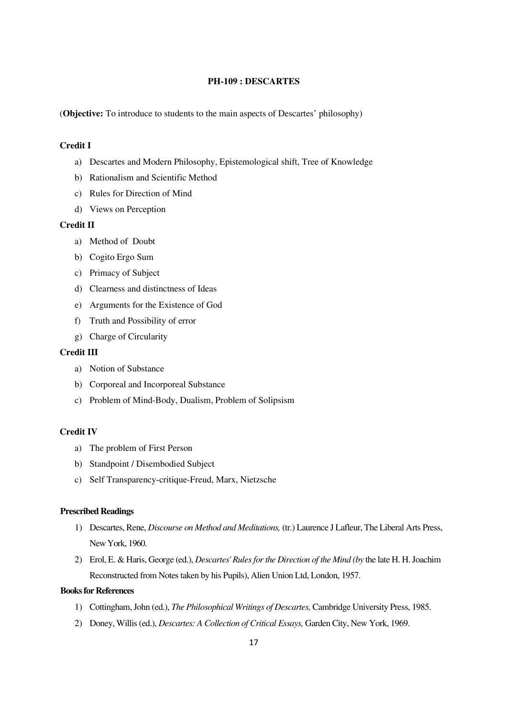## **PH-109 : DESCARTES**

(**Objective:** To introduce to students to the main aspects of Descartes' philosophy)

# **Credit I**

- a) Descartes and Modern Philosophy, Epistemological shift, Tree of Knowledge
- b) Rationalism and Scientific Method
- c) Rules for Direction of Mind
- d) Views on Perception

### **Credit II**

- a) Method of Doubt
- b) Cogito Ergo Sum
- c) Primacy of Subject
- d) Clearness and distinctness of Ideas
- e) Arguments for the Existence of God
- f) Truth and Possibility of error
- g) Charge of Circularity

### **Credit III**

- a) Notion of Substance
- b) Corporeal and Incorporeal Substance
- c) Problem of Mind-Body, Dualism, Problem of Solipsism

## **Credit IV**

- a) The problem of First Person
- b) Standpoint / Disembodied Subject
- c) Self Transparency-critique-Freud, Marx, Nietzsche

### **Prescribed Readings**

- 1) Descartes, Rene, *Discourse on Method and Meditations,* (tr.) Laurence J Lafleur, The Liberal Arts Press, New York, 1960.
- 2) Erol, E. & Haris, George (ed.), *Descartes' Rules for the Direction of the Mind (by* the late H. H. Joachim Reconstructed from Notes taken by his Pupils), Alien Union Ltd, London, 1957.

- 1) Cottingham, John (ed.), *The Philosophical Writings of Descartes,* Cambridge University Press, 1985.
- 2) Doney, Willis (ed.), *Descartes: A Collection of Critical Essays,* Garden City, New York, 1969.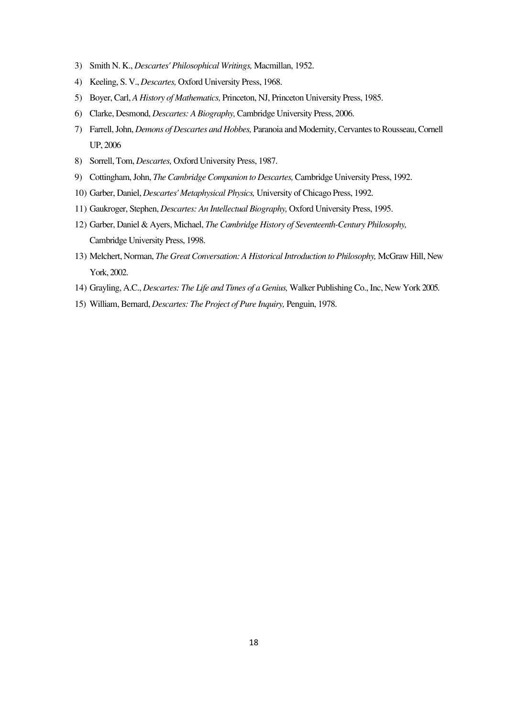- 3) Smith N. K., *Descartes' Philosophical Writings,* Macmillan, 1952.
- 4) Keeling, S. V., *Descartes,* Oxford University Press, 1968.
- 5) Boyer, Carl, *A History of Mathematics,* Princeton, NJ, Princeton University Press, 1985.
- 6) Clarke, Desmond, *Descartes: A Biography,* Cambridge University Press, 2006.
- 7) Farrell, John, *Demons of Descartes and Hobbes,* Paranoia and Modernity, Cervantes to Rousseau, Cornell UP, 2006
- 8) Sorrell, Tom, *Descartes,* Oxford University Press, 1987.
- 9) Cottingham, John, *The Cambridge Companion to Descartes,* Cambridge University Press, 1992.
- 10) Garber, Daniel, *Descartes' Metaphysical Physics,* University of Chicago Press, 1992.
- 11) Gaukroger, Stephen, *Descartes: An Intellectual Biography,* Oxford University Press, 1995.
- 12) Garber, Daniel & Ayers, Michael, *The Cambridge History of Seventeenth-Century Philosophy,*  Cambridge University Press, 1998.
- 13) Melchert, Norman, *The Great Conversation: A Historical Introduction to Philosophy,* McGraw Hill, New York, 2002.
- 14) Grayling, A.C., *Descartes: The Life and Times of a Genius,* Walker Publishing Co., Inc, New York 2005.
- 15) William, Bernard, *Descartes: The Project of Pure Inquiry,* Penguin, 1978.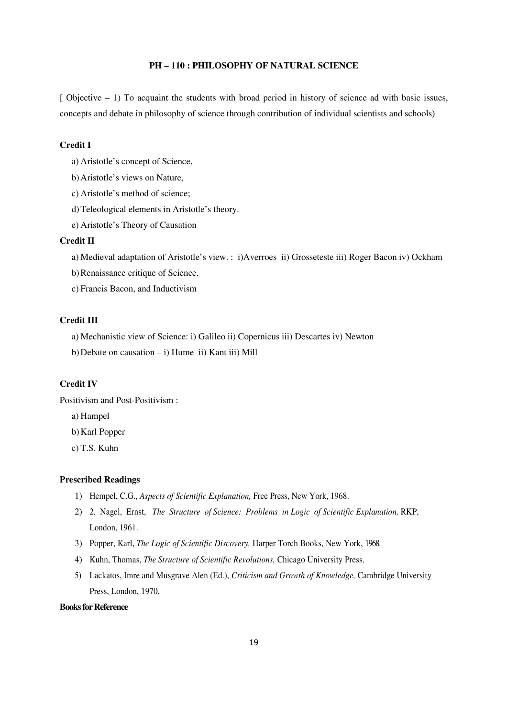## **PH — 110 : PHILOSOPHY OF NATURAL SCIENCE**

 $\lceil$  Objective – 1) To acquaint the students with broad period in history of science ad with basic issues, concepts and debate in philosophy of science through contribution of individual scientists and schools)

## **Credit I**

- a) Aristotle's concept of Science,
- b)Aristotle's views on Nature,
- c) Aristotle's method of science;
- d)Teleological elements in Aristotle's theory.
- e) Aristotle's Theory of Causation

## **Credit II**

a) Medieval adaptation of Aristotle's view. : i)Averroes ii) Grosseteste iii) Roger Bacon iv) Ockham

- b)Renaissance critique of Science.
- c) Francis Bacon, and Inductivism

#### **Credit III**

a) Mechanistic view of Science: i) Galileo ii) Copernicus iii) Descartes iv) Newton

b) Debate on causation  $- i$ ) Hume ii) Kant iii) Mill

## **Credit IV**

Positivism and Post-Positivism :

a) Hampel

b)Karl Popper

c) T.S. Kuhn

## **Prescribed Readings**

- 1) Hempel, C.G., *Aspects of Scientific Explanation,* Free Press, New York, 1968.
- 2) 2. Nagel, Ernst, *The Structure of Science: Problems in Logic of Scientific Explanation,* RKP, London, 1961.
- 3) Popper, Karl, *The Logic of Scientific Discovery,* Harper Torch Books, New York, 1968.
- 4) Kuhn, Thomas, *The Structure of Scientific Revolutions,* Chicago University Press.
- 5) Lackatos, Imre and Musgrave Alen (Ed.), *Criticism and Growth of Knowledge,* Cambridge University Press, London, 1970.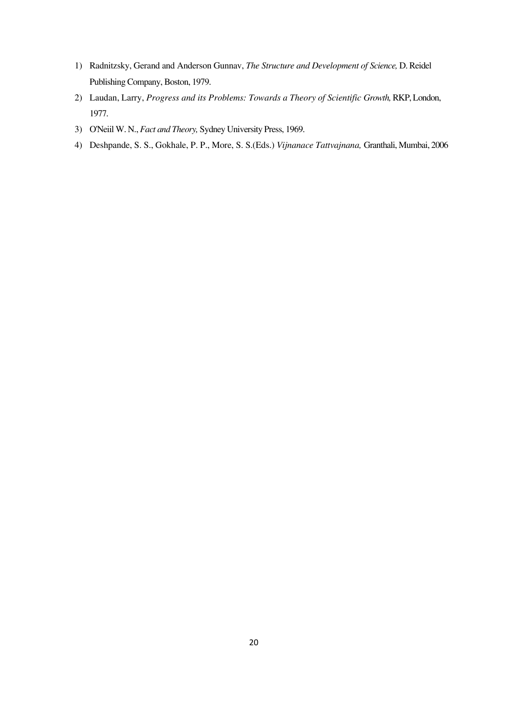- 1) Radnitzsky, Gerand and Anderson Gunnav, *The Structure and Development of Science,* D. Reidel Publishing Company, Boston, 1979.
- 2) Laudan, Larry, *Progress and its Problems: Towards a Theory of Scientific Growth*, RKP, London, 1977.
- 3) O'Neiil W. N., *Fact and Theory,* Sydney University Press, 1969.
- 4) Deshpande, S. S., Gokhale, P. P., More, S. S.(Eds.) *Vijnanace Tattvajnana,* Granthali, Mumbai, 2006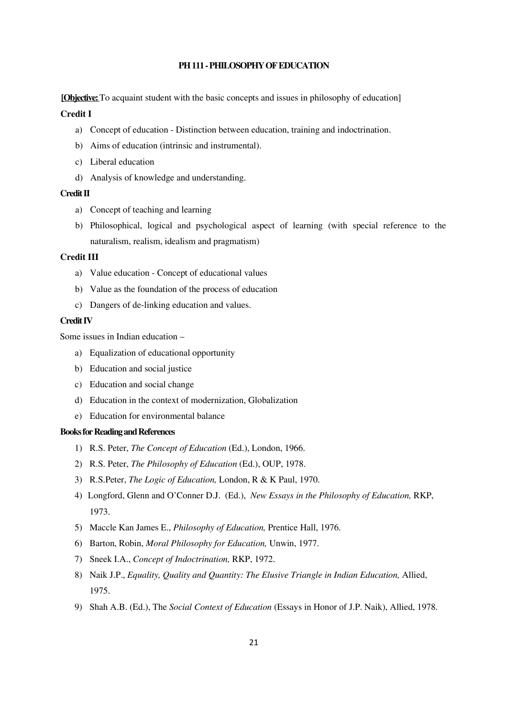## **PH 111 - PHILOSOPHY OF EDUCATION**

**[Objective:** To acquaint student with the basic concepts and issues in philosophy of education]

#### **Credit I**

- a) Concept of education Distinction between education, training and indoctrination.
- b) Aims of education (intrinsic and instrumental).
- c) Liberal education
- d) Analysis of knowledge and understanding.

#### **Credit II**

- a) Concept of teaching and learning
- b) Philosophical, logical and psychological aspect of learning (with special reference to the naturalism, realism, idealism and pragmatism)

### **Credit III**

- a) Value education Concept of educational values
- b) Value as the foundation of the process of education
- c) Dangers of de-linking education and values.

#### **Credit IV**

Some issues in Indian education —

- a) Equalization of educational opportunity
- b) Education and social justice
- c) Education and social change
- d) Education in the context of modernization, Globalization
- e) Education for environmental balance

#### **Books for Reading and References**

- 1) R.S. Peter, *The Concept of Education* (Ed.), London, 1966.
- 2) R.S. Peter, *The Philosophy of Education* (Ed.), OUP, 1978.
- 3) R.S.Peter, *The Logic of Education,* London, R & K Paul, 1970.
- 4) Longford, Glenn and O'Conner D.J. (Ed.), *New Essays in the Philosophy of Education,* RKP, 1973.
- 5) Maccle Kan James E., *Philosophy of Education,* Prentice Hall, 1976.
- 6) Barton, Robin, *Moral Philosophy for Education,* Unwin, 1977.
- 7) Sneek I.A., *Concept of Indoctrination,* RKP, 1972.
- 8) Naik J.P., *Equality, Quality and Quantity: The Elusive Triangle in Indian Education,* Allied, 1975.
- 9) Shah A.B. (Ed.), The *Social Context of Education* (Essays in Honor of J.P. Naik), Allied, 1978.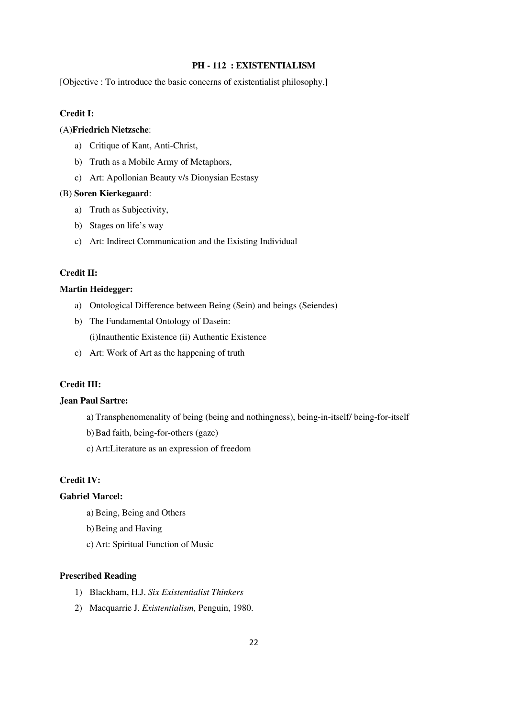## **PH - 112 : EXISTENTIALISM**

[Objective : To introduce the basic concerns of existentialist philosophy.]

## **Credit I:**

## (A)**Friedrich Nietzsche**:

- a) Critique of Kant, Anti-Christ,
- b) Truth as a Mobile Army of Metaphors,
- c) Art: Apollonian Beauty v/s Dionysian Ecstasy

#### (B) **Soren Kierkegaard**:

- a) Truth as Subjectivity,
- b) Stages on life's way
- c) Art: Indirect Communication and the Existing Individual

### **Credit II:**

### **Martin Heidegger:**

- a) Ontological Difference between Being (Sein) and beings (Seiendes)
- b) The Fundamental Ontology of Dasein:

(i)Inauthentic Existence (ii) Authentic Existence

c) Art: Work of Art as the happening of truth

## **Credit III:**

## **Jean Paul Sartre:**

- a) Transphenomenality of being (being and nothingness), being-in-itself/ being-for-itself
- b)Bad faith, being-for-others (gaze)
- c) Art:Literature as an expression of freedom

## **Credit IV:**

## **Gabriel Marcel:**

- a) Being, Being and Others
- b)Being and Having
- c) Art: Spiritual Function of Music

### **Prescribed Reading**

- 1) Blackham, H.J. *Six Existentialist Thinkers*
- 2) Macquarrie J. *Existentialism,* Penguin, 1980.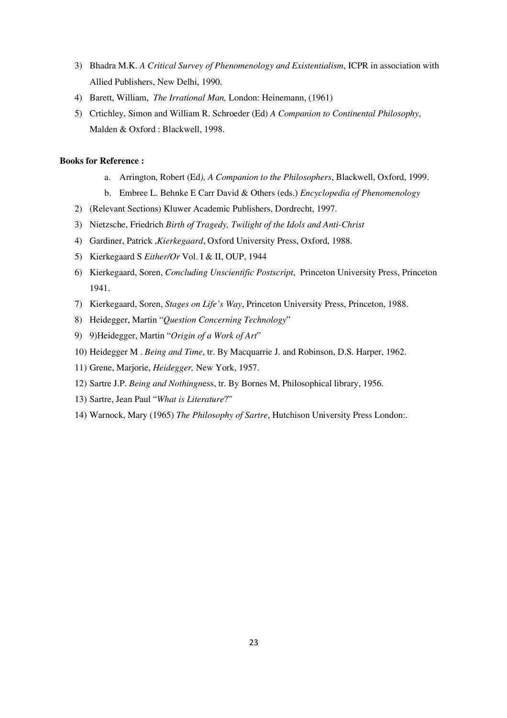- 3) Bhadra M.K. *A Critical Survey of Phenomenology and Existentialism*, ICPR in association with Allied Publishers, New Delhi, 1990.
- 4) Barett, William, *The Irrational Man,* London: Heinemann, (1961)
- 5) Crtichley, Simon and William R. Schroeder (Ed) *A Companion to Continental Philosophy*, Malden & Oxford : Blackwell, 1998.

- a. Arrington, Robert (Ed*), A Companion to the Philosophers*, Blackwell, Oxford, 1999.
- b. Embree L. Behnke E Carr David & Others (eds.) *Encyclopedia of Phenomenology*
- 2) (Relevant Sections) Kluwer Academic Publishers, Dordrecht, 1997.
- 3) Nietzsche, Friedrich *Birth of Tragedy, Twilight of the Idols and Anti-Christ*
- 4) Gardiner, Patrick ,*Kierkegaard*, Oxford University Press, Oxford, 1988.
- 5) Kierkegaard S *Either/Or* Vol. I & II, OUP, 1944
- 6) Kierkegaard, Soren, *Concluding Unscientific Postscript*, Princeton University Press, Princeton 1941.
- 7) Kierkegaard, Soren, *Stages on Life's Way*, Princeton University Press, Princeton, 1988.
- 8) Heidegger, Martin "*Question Concerning Technology*"
- 9) 9)Heidegger, Martin "*Origin of a Work of Art*"
- 10) Heidegger M . *Being and Time*, tr. By Macquarrie J. and Robinson, D.S. Harper, 1962.
- 11) Grene, Marjorie, *Heidegger,* New York, 1957.
- 12) Sartre J.P. *Being and Nothingn*ess, tr. By Bornes M, Philosophical library, 1956.
- 13) Sartre, Jean Paul "*What is Literature*?"
- 14) Warnock, Mary (1965) *The Philosophy of Sartre*, Hutchison University Press London:.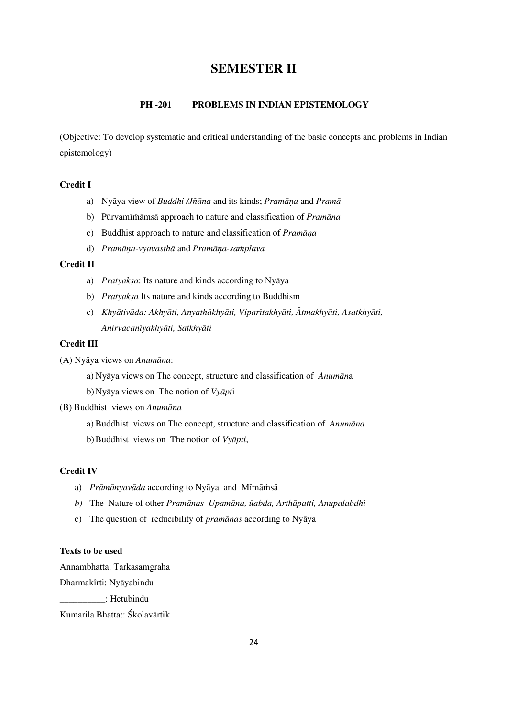# **SEMESTER II**

### **PH -201 PROBLEMS IN INDIAN EPISTEMOLOGY**

(Objective: To develop systematic and critical understanding of the basic concepts and problems in Indian epistemology)

## **Credit I**

- a) Nyāya view of *Buddhi /Jñāna* and its kinds; *Pramāna* and *Pramā*
- b) Pūrvamīmāmsā approach to nature and classification of *Pramāna*
- c) Buddhist approach to nature and classification of *Pramāna*
- d) *Pramāna-vyavasthā* and *Pramāna-samplava*

### **Credit II**

- a) *Pratyaksa*: Its nature and kinds according to Nyaya
- b) *Pratyaksa* Its nature and kinds according to Buddhism
- c) *Khyātivāda: Akhyāti, Anyathākhyāti, Viparītakhyāti, Ātmakhyāti, Asatkhyāti, AnirvacanÍyakhyÁti, SatkhyÁti*

## **Credit III**

- (A) NyÁya views on *AnumÁna*:
	- a) Nyāya views on The concept, structure and classification of *Anumāna*

b) Nyāya views on The notion of *Vyāpt*i

- (B) Buddhist views on *AnumÁna*
	- a) Buddhist views on The concept, structure and classification of *Anumāna*
	- b) Buddhist views on The notion of *Vyāpti*,

## **Credit IV**

- a) *Prāmānyavāda* according to Nyāya and Mīmāmsā
- *b*) The Nature of other *Pramānas Upamāna*, ūabda, Arthāpatti, Anupalabdhi
- c) The question of reducibility of *pramānas* according to Nyāya

#### **Texts to be used**

Annambhatta: Tarkasamgraha

Dharmakîrti: Nyāyabindu

\_\_\_\_\_\_\_\_\_\_: Hetubindu

Kumarila Bhatta:: Śkolavārtik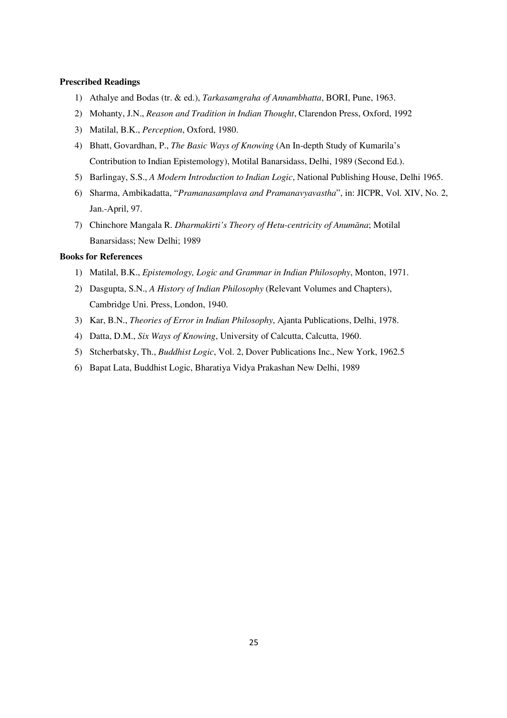## **Prescribed Readings**

- 1) Athalye and Bodas (tr. & ed.), *Tarkasamgraha of Annambhatta*, BORI, Pune, 1963.
- 2) Mohanty, J.N., *Reason and Tradition in Indian Thought*, Clarendon Press, Oxford, 1992
- 3) Matilal, B.K., *Perception*, Oxford, 1980.
- 4) Bhatt, Govardhan, P., *The Basic Ways of Knowing* (An In-depth Study of Kumarila's Contribution to Indian Epistemology), Motilal Banarsidass, Delhi, 1989 (Second Ed.).
- 5) Barlingay, S.S., *A Modern Introduction to Indian Logic*, National Publishing House, Delhi 1965.
- 6) Sharma, Ambikadatta, "*Pramanasamplava and Pramanavyavastha*", in: JICPR, Vol. XIV, No. 2, Jan.-April, 97.
- 7) Chinchore Mangala R. *DharmakÍrti's Theory of Hetu-centricity of AnumÁna*; Motilal Banarsidass; New Delhi; 1989

- 1) Matilal, B.K., *Epistemology, Logic and Grammar in Indian Philosophy*, Monton, 1971.
- 2) Dasgupta, S.N., *A History of Indian Philosophy* (Relevant Volumes and Chapters), Cambridge Uni. Press, London, 1940.
- 3) Kar, B.N., *Theories of Error in Indian Philosophy*, Ajanta Publications, Delhi, 1978.
- 4) Datta, D.M., *Six Ways of Knowing*, University of Calcutta, Calcutta, 1960.
- 5) Stcherbatsky, Th., *Buddhist Logic*, Vol. 2, Dover Publications Inc., New York, 1962.5
- 6) Bapat Lata, Buddhist Logic, Bharatiya Vidya Prakashan New Delhi, 1989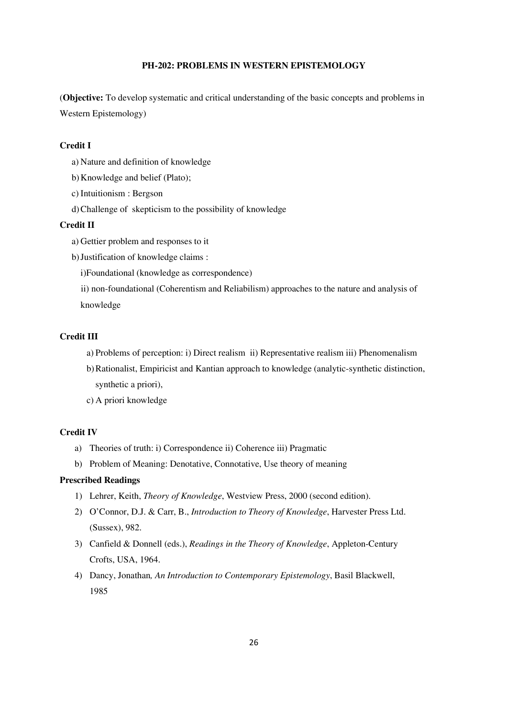## **PH-202: PROBLEMS IN WESTERN EPISTEMOLOGY**

(**Objective:** To develop systematic and critical understanding of the basic concepts and problems in Western Epistemology)

## **Credit I**

- a) Nature and definition of knowledge
- b)Knowledge and belief (Plato);
- c) Intuitionism : Bergson
- d)Challenge of skepticism to the possibility of knowledge

### **Credit II**

- a) Gettier problem and responses to it
- b)Justification of knowledge claims :
	- i)Foundational (knowledge as correspondence)
	- ii) non-foundational (Coherentism and Reliabilism) approaches to the nature and analysis of knowledge

### **Credit III**

- a) Problems of perception: i) Direct realism ii) Representative realism iii) Phenomenalism
- b)Rationalist, Empiricist and Kantian approach to knowledge (analytic-synthetic distinction, synthetic a priori),
- c) A priori knowledge

## **Credit IV**

- a) Theories of truth: i) Correspondence ii) Coherence iii) Pragmatic
- b) Problem of Meaning: Denotative, Connotative, Use theory of meaning

## **Prescribed Readings**

- 1) Lehrer, Keith, *Theory of Knowledge*, Westview Press, 2000 (second edition).
- 2) O'Connor, D.J. & Carr, B., *Introduction to Theory of Knowledge*, Harvester Press Ltd. (Sussex), 982.
- 3) Canfield & Donnell (eds.), *Readings in the Theory of Knowledge*, Appleton-Century Crofts, USA, 1964.
- 4) Dancy, Jonathan*, An Introduction to Contemporary Epistemology*, Basil Blackwell, 1985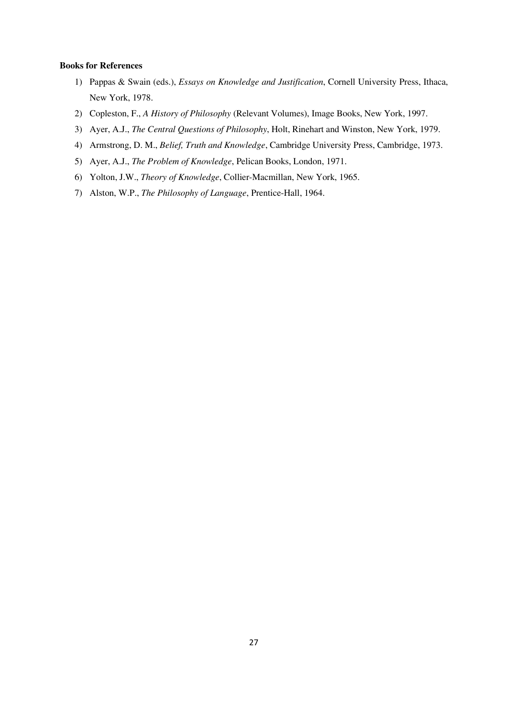- 1) Pappas & Swain (eds.), *Essays on Knowledge and Justification*, Cornell University Press, Ithaca, New York, 1978.
- 2) Copleston, F., *A History of Philosophy* (Relevant Volumes), Image Books, New York, 1997.
- 3) Ayer, A.J., *The Central Questions of Philosophy*, Holt, Rinehart and Winston, New York, 1979.
- 4) Armstrong, D. M., *Belief, Truth and Knowledge*, Cambridge University Press, Cambridge, 1973.
- 5) Ayer, A.J., *The Problem of Knowledge*, Pelican Books, London, 1971.
- 6) Yolton, J.W., *Theory of Knowledge*, Collier-Macmillan, New York, 1965.
- 7) Alston, W.P., *The Philosophy of Language*, Prentice-Hall, 1964.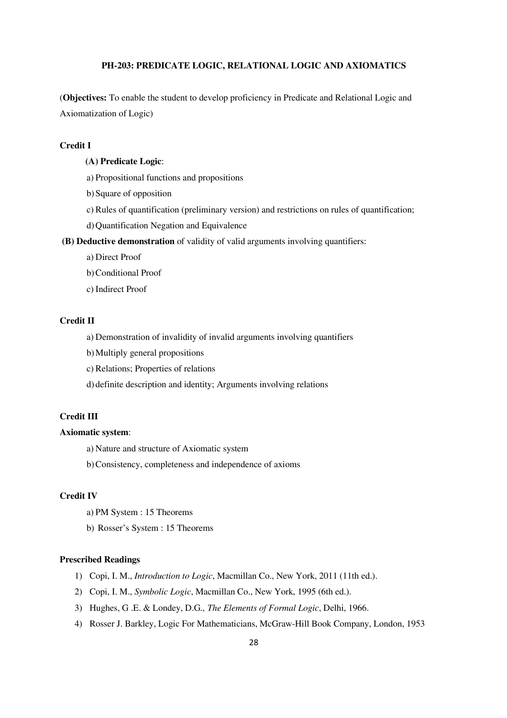## **PH-203: PREDICATE LOGIC, RELATIONAL LOGIC AND AXIOMATICS**

(**Objectives:** To enable the student to develop proficiency in Predicate and Relational Logic and Axiomatization of Logic)

## **Credit I**

#### **(A) Predicate Logic**:

- a) Propositional functions and propositions
- b)Square of opposition
- c) Rules of quantification (preliminary version) and restrictions on rules of quantification;
- d)Quantification Negation and Equivalence

 **(B) Deductive demonstration** of validity of valid arguments involving quantifiers:

- a) Direct Proof
- b)Conditional Proof
- c) Indirect Proof

### **Credit II**

- a) Demonstration of invalidity of invalid arguments involving quantifiers
- b)Multiply general propositions
- c) Relations; Properties of relations
- d) definite description and identity; Arguments involving relations

## **Credit III**

### **Axiomatic system**:

a) Nature and structure of Axiomatic system

b)Consistency, completeness and independence of axioms

### **Credit IV**

- a) PM System : 15 Theorems
- b) Rosser's System : 15 Theorems

### **Prescribed Readings**

- 1) Copi, I. M., *Introduction to Logic*, Macmillan Co., New York, 2011 (11th ed.).
- 2) Copi, I. M., *Symbolic Logic*, Macmillan Co., New York, 1995 (6th ed.).
- 3) Hughes, G .E. & Londey, D.G*., The Elements of Formal Logic*, Delhi, 1966.
- 4) Rosser J. Barkley, Logic For Mathematicians, McGraw-Hill Book Company, London, 1953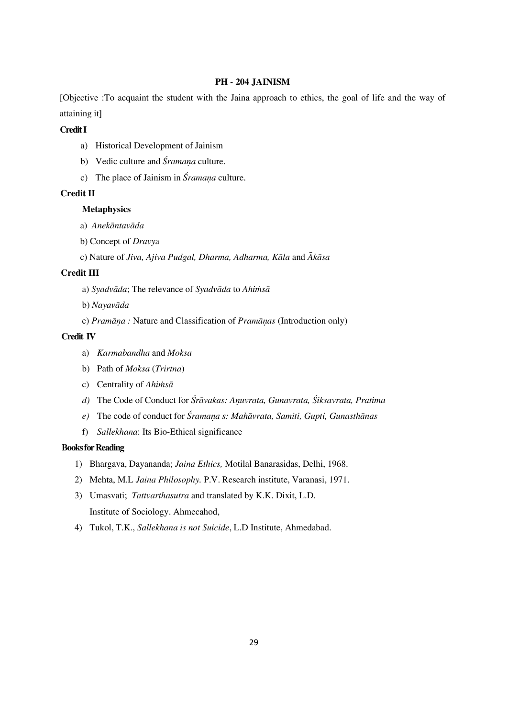## **PH - 204 JAINISM**

[Objective :To acquaint the student with the Jaina approach to ethics, the goal of life and the way of attaining it]

## **Credit I**

- a) Historical Development of Jainism
- b) Vedic culture and *Śramana* culture.
- c) The place of Jainism in *Śramana* culture.

## **Credit II**

## **Metaphysics**

- a) *Anekāntavāda*
- b) Concept of *Dravy*a
- c) Nature of *Jiva, Ajiva Pudgal, Dharma, Adharma, Kāla* and  $\bar{A}k\bar{a}sa$

### **Credit III**

- a) Syadvāda; The relevance of Syadvāda to Ahimsā
- b) Nayavāda
- c) *Pramāna* : Nature and Classification of *Pramānas* (Introduction only)

### **Credit IV**

- a) *Karmabandha* and *Moksa*
- b) Path of *Moksa* (*Trirtna*)
- c) Centrality of *Ahimsa*
- *d*) The Code of Conduct for  $\hat{S}r\bar{a}vakas$ : Anuvrata, Gunavrata,  $\hat{S}iksavrata$ , Pratima
- *e*) The code of conduct for *Śramana s: Mahāvrata, Samiti, Gupti, Gunasthānas*
- f) *Sallekhana*: Its Bio-Ethical significance

#### **Books for Reading**

- 1) Bhargava, Dayananda; *Jaina Ethics,* Motilal Banarasidas, Delhi, 1968.
- 2) Mehta, M.L *Jaina Philosophy.* P.V. Research institute, Varanasi, 1971.
- 3) Umasvati; *Tattvarthasutra* and translated by K.K. Dixit, L.D. Institute of Sociology. Ahmecahod,
- 4) Tukol, T.K., *Sallekhana is not Suicide*, L.D Institute, Ahmedabad.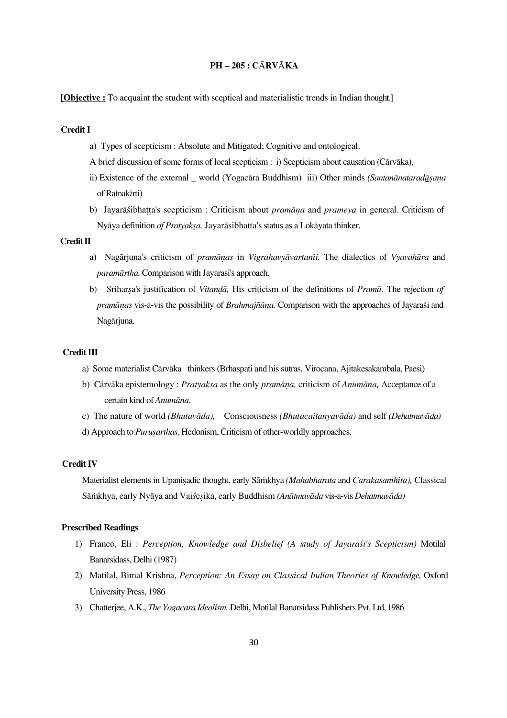## **PH — 205 : C**À**RV**À**KA**

**[Objective :** To acquaint the student with sceptical and materialistic trends in Indian thought.]

### **Credit I**

- a) Types of scepticism : Absolute and Mitigated; Cognitive and ontological.
- A brief discussion of some forms of local scepticism : i) Scepticism about causation (Cārvāka),
- ii) Existence of the external \_ world (Yogacāra Buddhism) iii) Other minds *(Santanānataradūsana* of Ratnak*Í*rti)
- b) Jayarāśibhatta's scepticism : Criticism about *pramāna* and *prameya* in general. Criticism of Nyāya definition *of Pratyakṣa*. Jayarāsibhatta's status as a Lokāyata thinker.

#### **Credit II**

- a) Nagārjuna's criticism of *pramānas* in *Vigrahavyāvartanīi*. The dialectics of *Vyavahāra* and *paramÁrtha.* Comparison with Jayarasi's approach.
- b) Sriharsa's justification of *Vitandā*, His criticism of the definitions of *Pramā*. The rejection of *pramānas* vis-a-vis the possibility of *Brahmajñāna*. Comparison with the approaches of Jayarast and Nagārjuna.

### **Credit III**

- a) Some materialist Cārvāka thinkers (Brhaspati and his sutras, Virocana, Ajitakesakambala, Paesi)
- b) Cārvāka epistemology : *Pratyaksa* as the only *pramāna*, criticism of *Anumāna*, Acceptance of a certain kind of *AnumÁna.*
- c) The nature of world *(Bhutavāda)*, Consciousness *(Bhutacaitanyavāda)* and self *(Dehatmavāda)*
- d) Approach to *Purusarthas*, Hedonism, Criticism of other-worldly approaches.

### **Credit IV**

Materialist elements in Upanisadic thought, early Sāmkhya *(Mahabharata* and *Carakasamhita)*, Classical Sāmkhya, early Nyāya and Vaisesika, early Buddhism *(Anātmavāda vis-a-vis Dehatmavāda)* 

## **Prescribed Readings**

- 1) Franco, Eli : *Perception, Knowledge and Disbelief (A study of Jayarasti's Scepticism)* Motilal Banarsidass, Delhi (1987)
- 2) Matilal, Bimal Krishna, *Perception: An Essay on Classical Indian Theories of Knowledge,* Oxford University Press, 1986
- 3) Chatterjee, A.K., *The Yogacara Idealism,* Delhi, Motilal Banarsidass Publishers Pvt. Ltd, 1986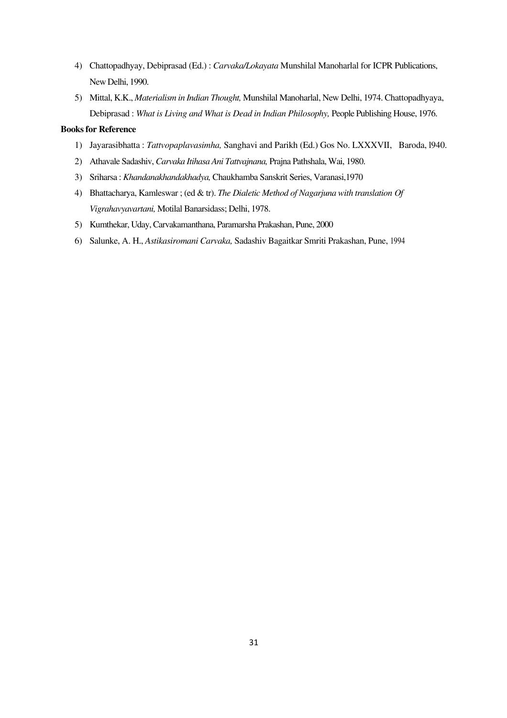- 4) Chattopadhyay, Debiprasad (Ed.) : *Carvaka/Lokayata* Munshilal Manoharlal for ICPR Publications, New Delhi, 1990.
- 5) Mittal, K.K., *Materialism in Indian Thought,* Munshilal Manoharlal, New Delhi, 1974. Chattopadhyaya, Debiprasad : *What is Living and What is Dead in Indian Philosophy,* People Publishing House, 1976.

- 1) Jayarasibhatta : *Tattvopaplavasimha,* Sanghavi and Parikh (Ed.) Gos No. LXXXVII, Baroda, l940.
- 2) Athavale Sadashiv, *Carvaka Itihasa Ani Tattvajnana,* Prajna Pathshala, Wai, 1980.
- 3) Sriharsa : *Khandanakhandakhadya,* Chaukhamba Sanskrit Series, Varanasi,1970
- 4) Bhattacharya, Kamleswar ; (ed & tr). *The Dialetic Method of Nagarjuna with translation Of Vigrahavyavartani,* Motilal Banarsidass; Delhi, 1978.
- 5) Kumthekar, Uday, Carvakamanthana, Paramarsha Prakashan, Pune, 2000
- 6) Salunke, A. H., *Astikasiromani Carvaka,* Sadashiv Bagaitkar Smriti Prakashan, Pune, 1994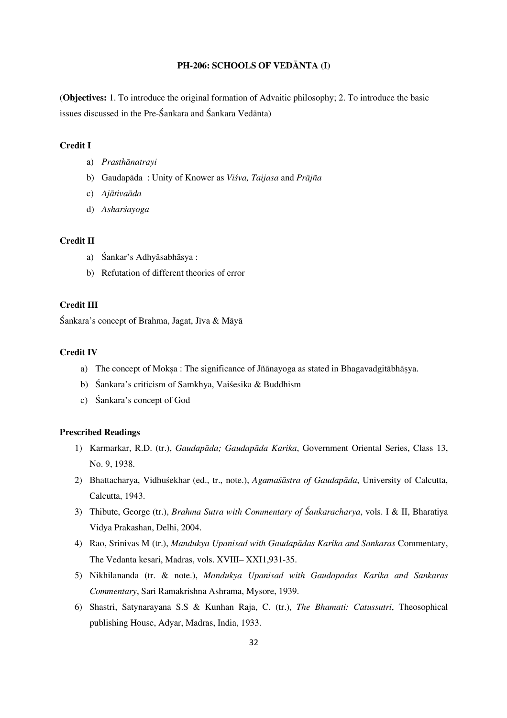## **PH-206: SCHOOLS OF VEDÀNTA (I)**

(**Objectives:** 1. To introduce the original formation of Advaitic philosophy; 2. To introduce the basic issues discussed in the Pre-Śankara and Śankara Vedānta)

## **Credit I**

- a) Prasthānatrayi
- b) Gaudapāda : Unity of Knower as *Višva, Taijasa* and *Prājña*
- c) Ajātivaāda
- d) Asharsayoga

#### **Credit II**

- a) Śankar's Adhyāsabhāsya :
- b) Refutation of different theories of error

## **Credit III**

Śankara's concept of Brahma, Jagat, Jīva & Māyā

### **Credit IV**

- a) The concept of Moksa : The significance of Jñānayoga as stated in Bhagavadgitābhāsya.
- b) Śankara's criticism of Samkhya, Vaiśesika & Buddhism
- c) Sankara's concept of God

#### **Prescribed Readings**

- 1) Karmarkar, R.D. (tr.), *Gaudapāda; Gaudapāda Karika*, Government Oriental Series, Class 13, No. 9, 1938.
- 2) Bhattacharya, Vidhuśekhar (ed., tr., note.), *Agamaśāstra of Gaudapāda*, University of Calcutta, Calcutta, 1943.
- 3) Thibute, George (tr.), *Brahma Sutra with Commentary of Ïankaracharya*, vols. I & II, Bharatiya Vidya Prakashan, Delhi, 2004.
- 4) Rao, Srinivas M (tr.), *Mandukya Upanisad with Gaudapādas Karika and Sankaras* Commentary, The Vedanta kesari, Madras, vols. XVIII— XXI1,931-35.
- 5) Nikhilananda (tr. & note.), *Mandukya Upanisad with Gaudapadas Karika and Sankaras Commentary*, Sari Ramakrishna Ashrama, Mysore, 1939.
- 6) Shastri, Satynarayana S.S & Kunhan Raja, C. (tr.), *The Bhamati: Catussutri*, Theosophical publishing House, Adyar, Madras, India, 1933.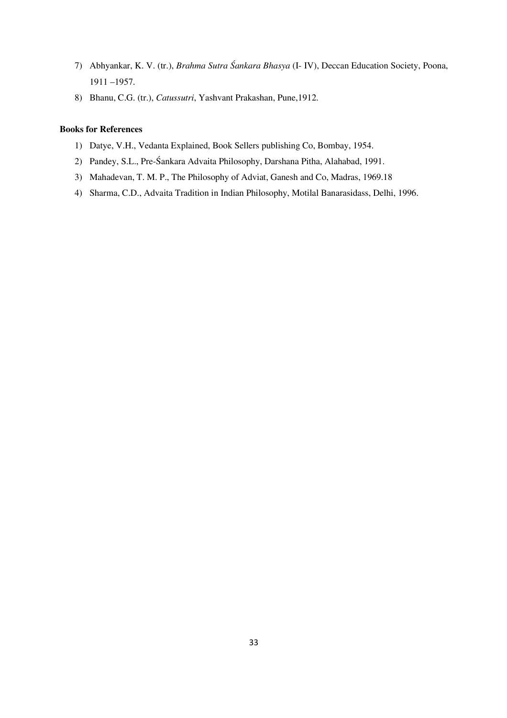- 7) Abhyankar, K. V. (tr.), *Brahma Sutra Ïankara Bhasya* (I- IV), Deccan Education Society, Poona, 1911 —1957.
- 8) Bhanu, C.G. (tr.), *Catussutri*, Yashvant Prakashan, Pune,1912.

- 1) Datye, V.H., Vedanta Explained, Book Sellers publishing Co, Bombay, 1954.
- 2) Pandey, S.L., Pre-Śankara Advaita Philosophy, Darshana Pitha, Alahabad, 1991.
- 3) Mahadevan, T. M. P., The Philosophy of Adviat, Ganesh and Co, Madras, 1969.18
- 4) Sharma, C.D., Advaita Tradition in Indian Philosophy, Motilal Banarasidass, Delhi, 1996.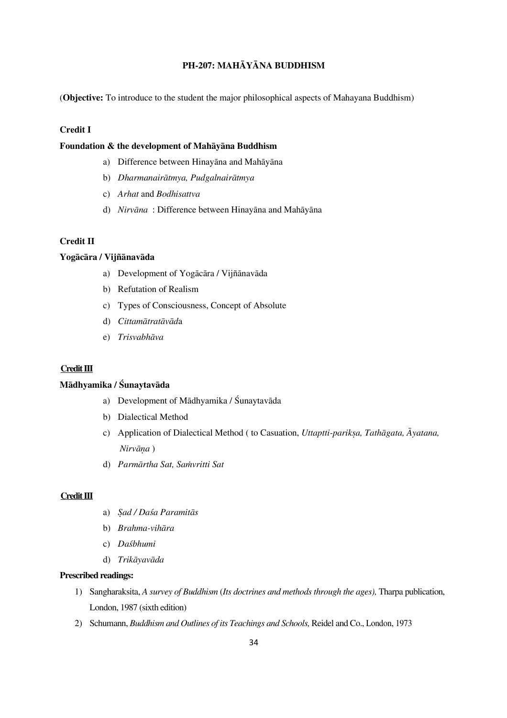# **PH-207: MAHÀYÀNA BUDDHISM**

(**Objective:** To introduce to the student the major philosophical aspects of Mahayana Buddhism)

### **Credit I**

## Foundation & the development of Mahavana Buddhism

- a) Difference between Hinayāna and Mahāyāna
- b) *Dharmanairātmya, Pudgalnairātmya*
- c) *Arhat* and *Bodhisattva*
- d) *Nirvāna* : Difference between Hinayāna and Mahāyāna

### **Credit II**

### Yogācāra / Vijñānavāda

- a) Development of Yogācāra / Vijñānavāda
- b) Refutation of Realism
- c) Types of Consciousness, Concept of Absolute
- d) *Cittamātratāvāda*
- e) Trisvabhāva

## **Credit III**

### **Mādhyamika / Śunaytavāda**

- a) Development of Mādhyamika / Śunaytavāda
- b) Dialectical Method
- c) Application of Dialectical Method ( to Casuation, *Uttaptti-parikṣa, Tathāgata, Āyatana,*  $Nirvāna$ )
- d) *Parmārtha Sat, Samvritti Sat*

### **Credit III**

- a) Sad / Dasa Paramitās
- b) *Brahma-vihāra*
- c) *DaÐbhumi*
- d) Trikāyavāda

## **Prescribed readings:**

- 1) Sangharaksita, *A survey of Buddhism* (*Its doctrines and methods through the ages),* Tharpa publication, London, 1987 (sixth edition)
- 2) Schumann, *Buddhism and Outlines of its Teachings and Schools,* Reidel and Co., London, 1973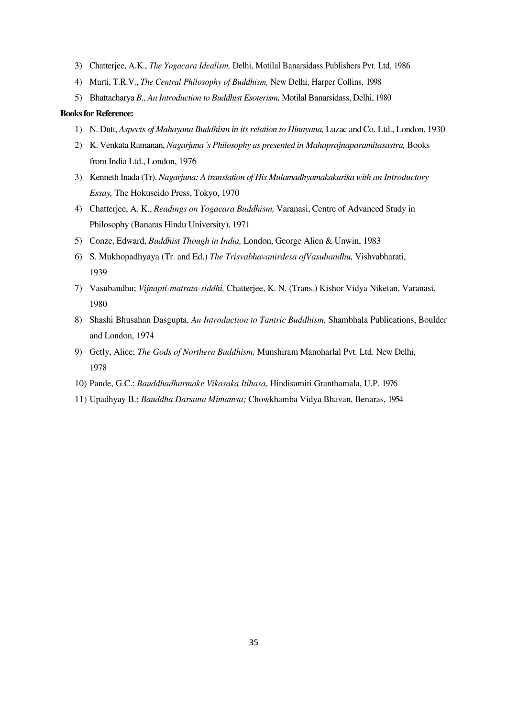- 3) Chatterjee, A.K., *The Yogacara Idealism,* Delhi, Motilal Banarsidass Publishers Pvt. Ltd, 1986
- 4) Murti, T.R.V., *The Central Philosophy of Buddhism,* New Delhi, Harper Collins, 1998
- 5) Bhattacharya *B., An Introduction to Buddhist Esoterism,* Motilal Banarsidass, Delhi, 1980

- 1) N. Dutt, *Aspects of Mahayana Buddhism in its relation to Hinayana,* Luzac and Co. Ltd., London, 1930
- 2) K. Venkata Ramanan, *Nagarjuna 's Philosophy as presented in Mahaprajnaparamitasastra,* Books from India Ltd., London, 1976
- 3) Kenneth Inada (Tr). *Nagarjuna: A translation of His Mulamadhyamakakarika with an Introductory Essay,* The Hokuseido Press, Tokyo, 1970
- 4) Chatterjee, A. K., *Readings on Yogacara Buddhism,* Varanasi, Centre of Advanced Study in Philosophy (Banaras Hindu University), 1971
- 5) Conze, Edward, *Buddhist Though in India,* London, George Alien & Unwin, 1983
- 6) S. Mukhopadhyaya (Tr. and Ed.) *The Trisvabhavanirdesa ofVasubandhu,* Vishvabharati, 1939
- 7) Vasubandhu; *Vijnapti-matrata-siddhi,* Chatterjee, K. N. (Trans.) Kishor Vidya Niketan, Varanasi, 1980
- 8) Shashi Bhusahan Dasgupta, *An Introduction to Tantric Buddhism,* Shambhala Publications, Boulder and London, 1974
- 9) Getly, Alice; *The Gods of Northern Buddhism,* Munshiram Manoharlal Pvt. Ltd. New Delhi, 1978
- 10) Pande, G.C.; *Bauddhadharmake Vikasaka Itihasa,* Hindisamiti Granthamala, U.P. 1976
- 11) Upadhyay B.; *Bauddha Darsana Mimamsa;* Chowkhamba Vidya Bhavan, Benaras, 1954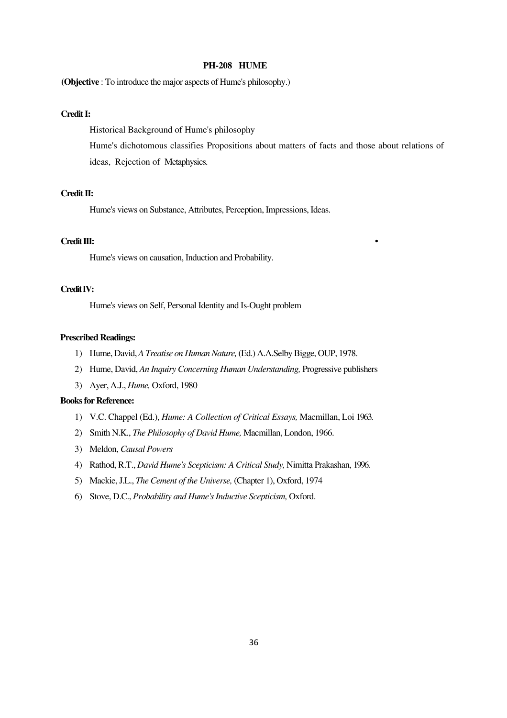### **PH-208 HUME**

**(Objective** : To introduce the major aspects of Hume's philosophy.)

## **Credit I:**

Historical Background of Hume's philosophy

Hume's dichotomous classifies Propositions about matters of facts and those about relations of ideas, Rejection of Metaphysics.

### **Credit II:**

Hume's views on Substance, Attributes, Perception, Impressions, Ideas.

#### **Credit III: •**

Hume's views on causation, Induction and Probability.

### **Credit IV:**

Hume's views on Self, Personal Identity and Is-Ought problem

#### **Prescribed Readings:**

- 1) Hume, David, *A Treatise on Human Nature,* (Ed.) A.A.Selby Bigge, OUP, 1978.
- 2) Hume, David, *An Inquiry Concerning Human Understanding,* Progressive publishers
- 3) Ayer, A.J., *Hume,* Oxford, 1980

- 1) V.C. Chappel (Ed.), *Hume: A Collection of Critical Essays,* Macmillan, Loi 1963.
- 2) Smith N.K., *The Philosophy of David Hume,* Macmillan, London, 1966.
- 3) Meldon, *Causal Powers*
- 4) Rathod, R.T., *David Hume's Scepticism: A Critical Study,* Nimitta Prakashan, 1996.
- 5) Mackie, J.L., *The Cement of the Universe,* (Chapter 1), Oxford, 1974
- 6) Stove, D.C., *Probability and Hume's Inductive Scepticism,* Oxford.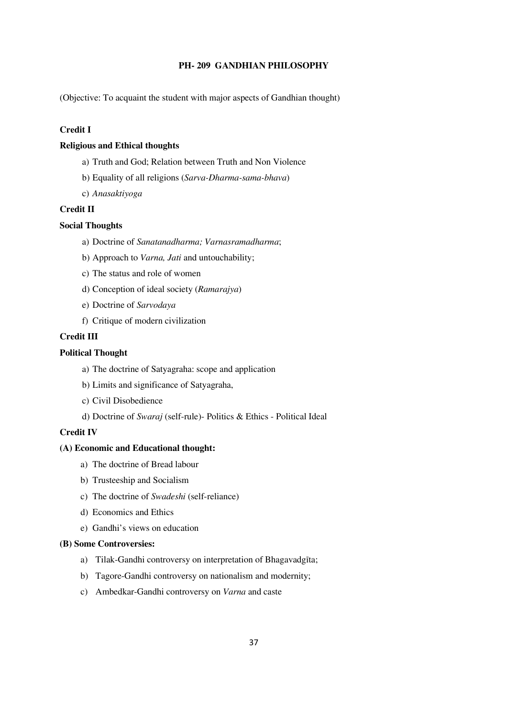## **PH- 209 GANDHIAN PHILOSOPHY**

(Objective: To acquaint the student with major aspects of Gandhian thought)

## **Credit I**

## **Religious and Ethical thoughts**

- a) Truth and God; Relation between Truth and Non Violence
- b) Equality of all religions (*Sarva-Dharma-sama-bhava*)
- c) *Anasaktiyoga*

## **Credit II**

### **Social Thoughts**

- a) Doctrine of *Sanatanadharma; Varnasramadharma*;
- b) Approach to *Varna, Jati* and untouchability;
- c) The status and role of women
- d) Conception of ideal society (*Ramarajya*)
- e) Doctrine of *Sarvodaya*
- f) Critique of modern civilization

## **Credit III**

## **Political Thought**

- a) The doctrine of Satyagraha: scope and application
- b) Limits and significance of Satyagraha,
- c) Civil Disobedience
- d) Doctrine of *Swaraj* (self-rule)- Politics & Ethics Political Ideal

### **Credit IV**

## **(A) Economic and Educational thought:**

- a) The doctrine of Bread labour
- b) Trusteeship and Socialism
- c) The doctrine of *Swadeshi* (self-reliance)
- d) Economics and Ethics
- e) Gandhi's views on education

#### **(B) Some Controversies:**

- a) Tilak-Gandhi controversy on interpretation of Bhagavadgīta;
- b) Tagore-Gandhi controversy on nationalism and modernity;
- c) Ambedkar-Gandhi controversy on *Varna* and caste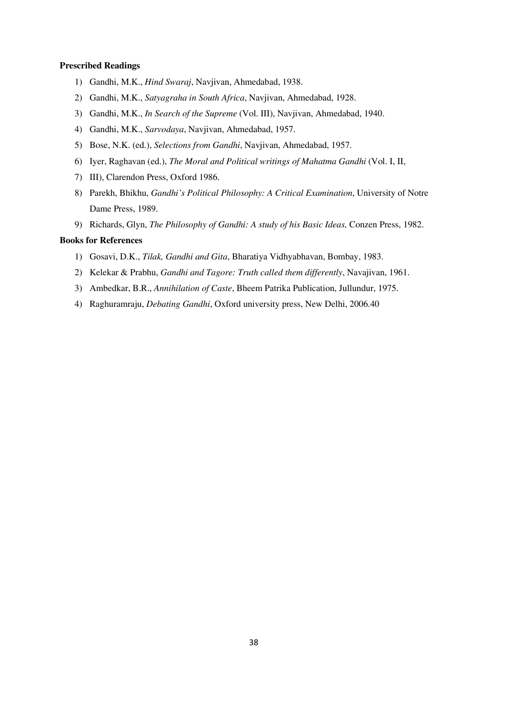## **Prescribed Readings**

- 1) Gandhi, M.K., *Hind Swaraj*, Navjivan, Ahmedabad, 1938.
- 2) Gandhi, M.K., *Satyagraha in South Africa*, Navjivan, Ahmedabad, 1928.
- 3) Gandhi, M.K., *In Search of the Supreme* (Vol. III), Navjivan, Ahmedabad, 1940.
- 4) Gandhi, M.K., *Sarvodaya*, Navjivan, Ahmedabad, 1957.
- 5) Bose, N.K. (ed.), *Selections from Gandhi*, Navjivan, Ahmedabad, 1957.
- 6) Iyer, Raghavan (ed.), *The Moral and Political writings of Mahatma Gandhi* (Vol. I, II,
- 7) III), Clarendon Press, Oxford 1986.
- 8) Parekh, Bhikhu, *Gandhi's Political Philosophy: A Critical Examination*, University of Notre Dame Press, 1989.
- 9) Richards, Glyn, *The Philosophy of Gandhi: A study of his Basic Ideas,* Conzen Press, 1982.

- 1) Gosavi, D.K., *Tilak, Gandhi and Gita*, Bharatiya Vidhyabhavan, Bombay, 1983.
- 2) Kelekar & Prabhu, *Gandhi and Tagore: Truth called them differently*, Navajivan, 1961.
- 3) Ambedkar, B.R., *Annihilation of Caste*, Bheem Patrika Publication, Jullundur, 1975.
- 4) Raghuramraju, *Debating Gandhi*, Oxford university press, New Delhi, 2006.40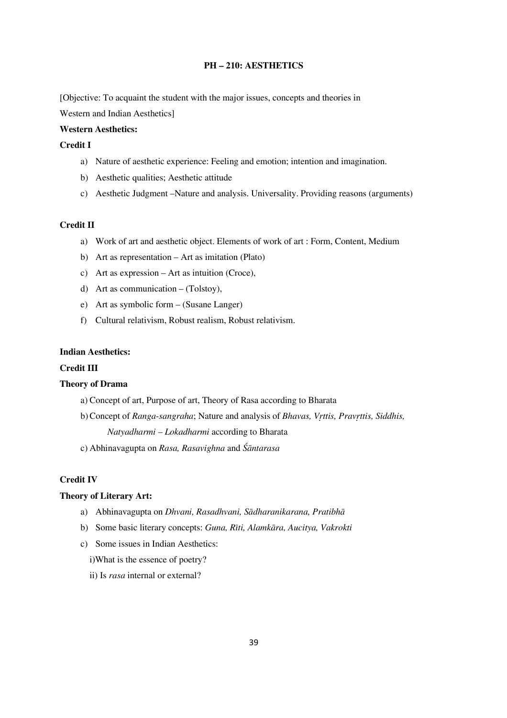## **PH — 210: AESTHETICS**

[Objective: To acquaint the student with the major issues, concepts and theories in

Western and Indian Aesthetics]

## **Western Aesthetics:**

## **Credit I**

- a) Nature of aesthetic experience: Feeling and emotion; intention and imagination.
- b) Aesthetic qualities; Aesthetic attitude
- c) Aesthetic Judgment —Nature and analysis. Universality. Providing reasons (arguments)

#### **Credit II**

- a) Work of art and aesthetic object. Elements of work of art : Form, Content, Medium
- b) Art as representation Art as imitation (Plato)
- c) Art as expression Art as intuition (Croce),
- d) Art as communication (Tolstoy),
- e) Art as symbolic form (Susane Langer)
- f) Cultural relativism, Robust realism, Robust relativism.

## **Indian Aesthetics:**

## **Credit III**

#### **Theory of Drama**

- a) Concept of art, Purpose of art, Theory of Rasa according to Bharata
- b) Concept of *Ranga-sangraha*; Nature and analysis of *Bhavas, Vrttis, Pravrttis, Siddhis,*

*Natyadharmi — Lokadharmi* according to Bharata

c) Abhinavagupta on *Rasa, Rasavighna* and *ÏÁntarasa*

### **Credit IV**

### **Theory of Literary Art:**

- a) Abhinavagupta on *Dhvani, Rasadhvani, Sādharanikarana, Pratibhā*
- b) Some basic literary concepts: *Guna, Rīti, Alamkāra, Aucitya, Vakrokti*
- c) Some issues in Indian Aesthetics:
	- i)What is the essence of poetry?
	- ii) Is *rasa* internal or external?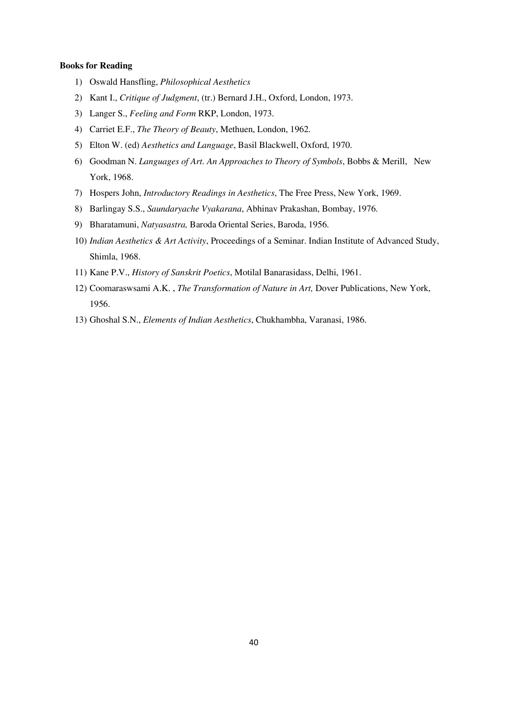#### **Books for Reading**

- 1) Oswald Hansfling, *Philosophical Aesthetics*
- 2) Kant I., *Critique of Judgment*, (tr.) Bernard J.H., Oxford, London, 1973.
- 3) Langer S., *Feeling and Form* RKP, London, 1973.
- 4) Carriet E.F., *The Theory of Beauty*, Methuen, London, 1962.
- 5) Elton W. (ed) *Aesthetics and Language*, Basil Blackwell, Oxford, 1970.
- 6) Goodman N. *Languages of Art. An Approaches to Theory of Symbols*, Bobbs & Merill, New York, 1968.
- 7) Hospers John, *Introductory Readings in Aesthetics*, The Free Press, New York, 1969.
- 8) Barlingay S.S., *Saundaryache Vyakarana*, Abhinav Prakashan, Bombay, 1976.
- 9) Bharatamuni, *Natyasastra,* Baroda Oriental Series, Baroda, 1956.
- 10) *Indian Aesthetics & Art Activity*, Proceedings of a Seminar. Indian Institute of Advanced Study, Shimla, 1968.
- 11) Kane P.V., *History of Sanskrit Poetics*, Motilal Banarasidass, Delhi, 1961.
- 12) Coomaraswsami A.K. , *The Transformation of Nature in Art,* Dover Publications, New York, 1956.
- 13) Ghoshal S.N., *Elements of Indian Aesthetics*, Chukhambha, Varanasi, 1986.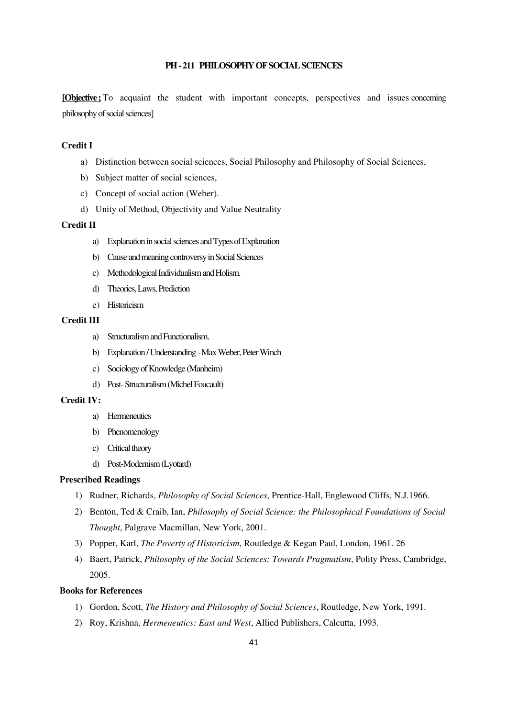## **PH - 211 PHILOSOPHY OF SOCIAL SCIENCES**

**[Objective:** To acquaint the student with important concepts, perspectives and issues concerning philosophy of social sciences]

# **Credit I**

- a) Distinction between social sciences, Social Philosophy and Philosophy of Social Sciences,
- b) Subject matter of social sciences,
- c) Concept of social action (Weber).
- d) Unity of Method, Objectivity and Value Neutrality

#### **Credit II**

- a) Explanation in social sciences and Types of Explanation
- b) Cause and meaning controversy in Social Sciences
- c) Methodological Individualism and Holism.
- d) Theories, Laws, Prediction
- e) Historicism

#### **Credit III**

- a) Structuralism and Functionalism.
- b) Explanation / Understanding Max Weber, Peter Winch
- c) Sociology of Knowledge (Manheim)
- d) Post- Structuralism (Michel Foucault)

#### **Credit IV:**

- a) Hermeneutics
- b) Phenomenology
- c) Critical theory
- d) Post-Modernism (Lyotard)

### **Prescribed Readings**

- 1) Rudner, Richards, *Philosophy of Social Sciences*, Prentice-Hall, Englewood Cliffs, N.J.1966.
- 2) Benton, Ted & Craib, Ian, *Philosophy of Social Science: the Philosophical Foundations of Social Thought*, Palgrave Macmillan, New York, 2001.
- 3) Popper, Karl, *The Poverty of Historicism*, Routledge & Kegan Paul, London, 1961. 26
- 4) Baert, Patrick, *Philosophy of the Social Sciences: Towards Pragmatism*, Polity Press, Cambridge, 2005.

- 1) Gordon, Scott, *The History and Philosophy of Social Sciences*, Routledge, New York, 1991.
- 2) Roy, Krishna, *Hermeneutics: East and West*, Allied Publishers, Calcutta, 1993.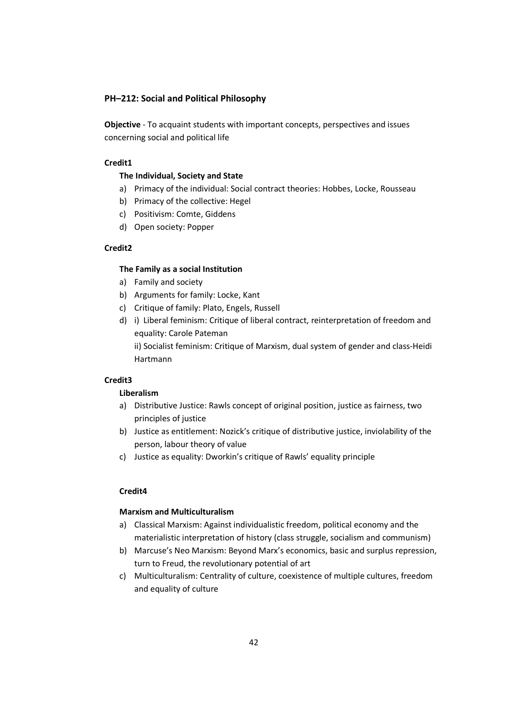## **PH–212: Social and Political Philosophy**

**Objective** - To acquaint students with important concepts, perspectives and issues concerning social and political life

## **Credit1**

## **The Individual, Society and State**

- a) Primacy of the individual: Social contract theories: Hobbes, Locke, Rousseau
- b) Primacy of the collective: Hegel
- c) Positivism: Comte, Giddens
- d) Open society: Popper

## **Credit2**

## **The Family as a social Institution**

- a) Family and society
- b) Arguments for family: Locke, Kant
- c) Critique of family: Plato, Engels, Russell
- d) i) Liberal feminism: Critique of liberal contract, reinterpretation of freedom and equality: Carole Pateman ii) Socialist feminism: Critique of Marxism, dual system of gender and class-Heidi

Hartmann

### **Credit3**

## **Liberalism**

- a) Distributive Justice: Rawls concept of original position, justice as fairness, two principles of justice
- b) Justice as entitlement: Nozick's critique of distributive justice, inviolability of the person, labour theory of value
- c) Justice as equality: Dworkin's critique of Rawls' equality principle

## **Credit4**

### **Marxism and Multiculturalism**

- a) Classical Marxism: Against individualistic freedom, political economy and the materialistic interpretation of history (class struggle, socialism and communism)
- b) Marcuse's Neo Marxism: Beyond Marx's economics, basic and surplus repression, turn to Freud, the revolutionary potential of art
- c) Multiculturalism: Centrality of culture, coexistence of multiple cultures, freedom and equality of culture